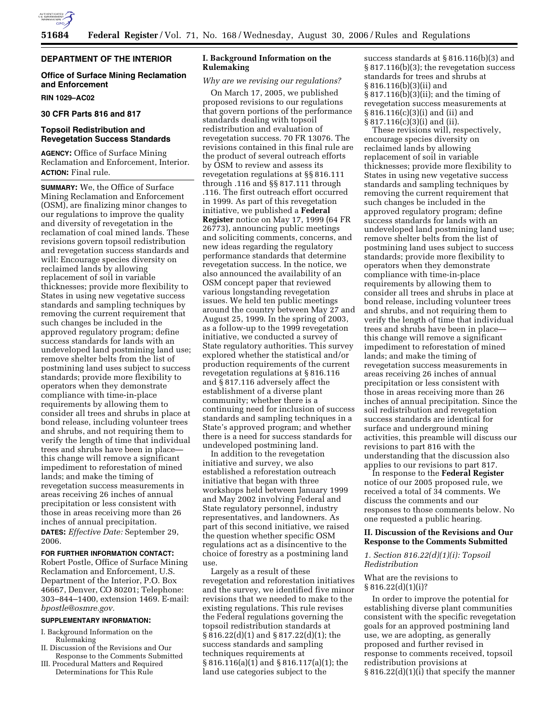

## **DEPARTMENT OF THE INTERIOR**

## **Office of Surface Mining Reclamation and Enforcement**

**RIN 1029–AC02** 

## **30 CFR Parts 816 and 817**

### **Topsoil Redistribution and Revegetation Success Standards**

**AGENCY:** Office of Surface Mining Reclamation and Enforcement, Interior. **ACTION:** Final rule.

**SUMMARY:** We, the Office of Surface Mining Reclamation and Enforcement (OSM), are finalizing minor changes to our regulations to improve the quality and diversity of revegetation in the reclamation of coal mined lands. These revisions govern topsoil redistribution and revegetation success standards and will: Encourage species diversity on reclaimed lands by allowing replacement of soil in variable thicknesses; provide more flexibility to States in using new vegetative success standards and sampling techniques by removing the current requirement that such changes be included in the approved regulatory program; define success standards for lands with an undeveloped land postmining land use; remove shelter belts from the list of postmining land uses subject to success standards; provide more flexibility to operators when they demonstrate compliance with time-in-place requirements by allowing them to consider all trees and shrubs in place at bond release, including volunteer trees and shrubs, and not requiring them to verify the length of time that individual trees and shrubs have been in place this change will remove a significant impediment to reforestation of mined lands; and make the timing of revegetation success measurements in areas receiving 26 inches of annual precipitation or less consistent with those in areas receiving more than 26 inches of annual precipitation.

**DATES:** *Effective Date:* September 29, 2006.

#### **FOR FURTHER INFORMATION CONTACT:**

Robert Postle, Office of Surface Mining Reclamation and Enforcement, U.S. Department of the Interior, P.O. Box 46667, Denver, CO 80201; Telephone: 303–844–1400, extension 1469. E-mail: *bpostle@osmre.gov.* 

## **SUPPLEMENTARY INFORMATION:**

- I. Background Information on the Rulemaking
- II. Discussion of the Revisions and Our Response to the Comments Submitted
- III. Procedural Matters and Required Determinations for This Rule

## **I. Background Information on the Rulemaking**

#### *Why are we revising our regulations?*

On March 17, 2005, we published proposed revisions to our regulations that govern portions of the performance standards dealing with topsoil redistribution and evaluation of revegetation success. 70 FR 13076. The revisions contained in this final rule are the product of several outreach efforts by OSM to review and assess its revegetation regulations at §§ 816.111 through .116 and §§ 817.111 through .116. The first outreach effort occurred in 1999. As part of this revegetation initiative, we published a **Federal Register** notice on May 17, 1999 (64 FR 26773), announcing public meetings and soliciting comments, concerns, and new ideas regarding the regulatory performance standards that determine revegetation success. In the notice, we also announced the availability of an OSM concept paper that reviewed various longstanding revegetation issues. We held ten public meetings around the country between May 27 and August 25, 1999. In the spring of 2003, as a follow-up to the 1999 revegetation initiative, we conducted a survey of State regulatory authorities. This survey explored whether the statistical and/or production requirements of the current revegetation regulations at § 816.116 and § 817.116 adversely affect the establishment of a diverse plant community; whether there is a continuing need for inclusion of success standards and sampling techniques in a State's approved program; and whether there is a need for success standards for undeveloped postmining land.

In addition to the revegetation initiative and survey, we also established a reforestation outreach initiative that began with three workshops held between January 1999 and May 2002 involving Federal and State regulatory personnel, industry representatives, and landowners. As part of this second initiative, we raised the question whether specific OSM regulations act as a disincentive to the choice of forestry as a postmining land use.

Largely as a result of these revegetation and reforestation initiatives and the survey, we identified five minor revisions that we needed to make to the existing regulations. This rule revises the Federal regulations governing the topsoil redistribution standards at § 816.22(d)(1) and § 817.22(d)(1); the success standards and sampling techniques requirements at § 816.116(a)(1) and § 816.117(a)(1); the land use categories subject to the

success standards at § 816.116(b)(3) and § 817.116(b)(3); the revegetation success standards for trees and shrubs at § 816.116(b)(3)(ii) and § 817.116(b)(3)(ii); and the timing of revegetation success measurements at § 816.116(c)(3)(i) and (ii) and § 817.116(c)(3)(i) and (ii).

These revisions will, respectively, encourage species diversity on reclaimed lands by allowing replacement of soil in variable thicknesses; provide more flexibility to States in using new vegetative success standards and sampling techniques by removing the current requirement that such changes be included in the approved regulatory program; define success standards for lands with an undeveloped land postmining land use; remove shelter belts from the list of postmining land uses subject to success standards; provide more flexibility to operators when they demonstrate compliance with time-in-place requirements by allowing them to consider all trees and shrubs in place at bond release, including volunteer trees and shrubs, and not requiring them to verify the length of time that individual trees and shrubs have been in place this change will remove a significant impediment to reforestation of mined lands; and make the timing of revegetation success measurements in areas receiving 26 inches of annual precipitation or less consistent with those in areas receiving more than 26 inches of annual precipitation. Since the soil redistribution and revegetation success standards are identical for surface and underground mining activities, this preamble will discuss our revisions to part 816 with the understanding that the discussion also applies to our revisions to part 817.

In response to the **Federal Register**  notice of our 2005 proposed rule, we received a total of 34 comments. We discuss the comments and our responses to those comments below. No one requested a public hearing.

### **II. Discussion of the Revisions and Our Response to the Comments Submitted**

### *1. Section 816.22(d)(1)(i): Topsoil Redistribution*

### What are the revisions to  $§ 816.22(d)(1)(i)?$

In order to improve the potential for establishing diverse plant communities consistent with the specific revegetation goals for an approved postmining land use, we are adopting, as generally proposed and further revised in response to comments received, topsoil redistribution provisions at § 816.22(d)(1)(i) that specify the manner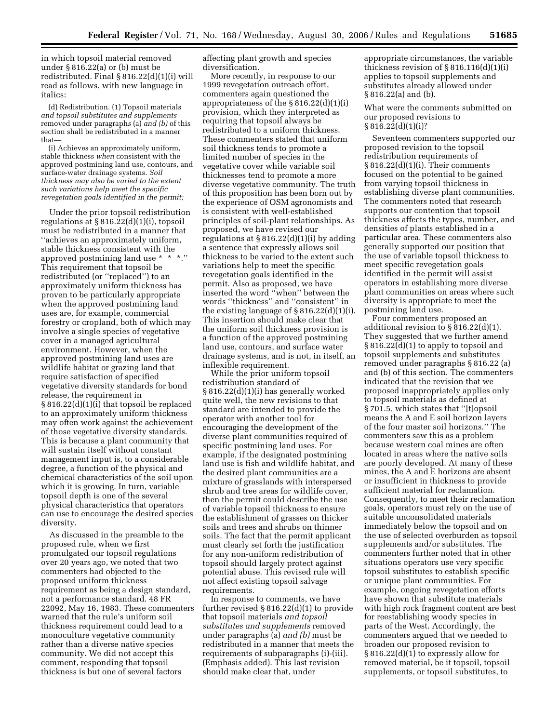in which topsoil material removed under § 816.22(a) or (b) must be redistributed. Final § 816.22(d)(1)(i) will read as follows, with new language in italics:

(d) Redistribution. (1) Topsoil materials *and topsoil substitutes and supplements*  removed under paragraph*s* (a) *and (b)* of this section shall be redistributed in a manner that—

(i) Achieves an approximately uniform, stable thickness *when* consistent with the approved postmining land use, contours, and surface-water drainage systems*. Soil thickness may also be varied to the extent such variations help meet the specific revegetation goals identified in the permit;* 

Under the prior topsoil redistribution regulations at  $§ 816.22(d)(1)(i)$ , topsoil must be redistributed in a manner that ''achieves an approximately uniform, stable thickness consistent with the approved postmining land use \* \* \*.'' This requirement that topsoil be redistributed (or ''replaced'') to an approximately uniform thickness has proven to be particularly appropriate when the approved postmining land uses are, for example, commercial forestry or cropland, both of which may involve a single species of vegetative cover in a managed agricultural environment. However, when the approved postmining land uses are wildlife habitat or grazing land that require satisfaction of specified vegetative diversity standards for bond release, the requirement in § 816.22(d)(1)(i) that topsoil be replaced to an approximately uniform thickness may often work against the achievement of those vegetative diversity standards. This is because a plant community that will sustain itself without constant management input is, to a considerable degree, a function of the physical and chemical characteristics of the soil upon which it is growing. In turn, variable topsoil depth is one of the several physical characteristics that operators can use to encourage the desired species diversity.

As discussed in the preamble to the proposed rule, when we first promulgated our topsoil regulations over 20 years ago, we noted that two commenters had objected to the proposed uniform thickness requirement as being a design standard, not a performance standard. 48 FR 22092, May 16, 1983. These commenters warned that the rule's uniform soil thickness requirement could lead to a monoculture vegetative community rather than a diverse native species community. We did not accept this comment, responding that topsoil thickness is but one of several factors

affecting plant growth and species diversification.

More recently, in response to our 1999 revegetation outreach effort, commenters again questioned the appropriateness of the § 816.22(d)(1)(i) provision, which they interpreted as requiring that topsoil always be redistributed to a uniform thickness. These commenters stated that uniform soil thickness tends to promote a limited number of species in the vegetative cover while variable soil thicknesses tend to promote a more diverse vegetative community. The truth of this proposition has been born out by the experience of OSM agronomists and is consistent with well-established principles of soil-plant relationships. As proposed, we have revised our regulations at  $§ 816.22(d)(1)(i)$  by adding a sentence that expressly allows soil thickness to be varied to the extent such variations help to meet the specific revegetation goals identified in the permit. Also as proposed, we have inserted the word ''when'' between the words ''thickness'' and ''consistent'' in the existing language of  $\S 816.22(d)(1)(i)$ . This insertion should make clear that the uniform soil thickness provision is a function of the approved postmining land use, contours, and surface water drainage systems, and is not, in itself, an inflexible requirement.

While the prior uniform topsoil redistribution standard of § 816.22(d)(1)(i) has generally worked quite well, the new revisions to that standard are intended to provide the operator with another tool for encouraging the development of the diverse plant communities required of specific postmining land uses. For example, if the designated postmining land use is fish and wildlife habitat, and the desired plant communities are a mixture of grasslands with interspersed shrub and tree areas for wildlife cover, then the permit could describe the use of variable topsoil thickness to ensure the establishment of grasses on thicker soils and trees and shrubs on thinner soils. The fact that the permit applicant must clearly set forth the justification for any non-uniform redistribution of topsoil should largely protect against potential abuse. This revised rule will not affect existing topsoil salvage requirements.

In response to comments, we have further revised § 816.22(d)(1) to provide that topsoil materials *and topsoil substitutes and supplements* removed under paragraphs (a) *and (b)* must be redistributed in a manner that meets the requirements of subparagraphs (i)-(iii). (Emphasis added). This last revision should make clear that, under

appropriate circumstances, the variable thickness revision of § 816.116(d)(1)(i) applies to topsoil supplements and substitutes already allowed under § 816.22(a) and (b).

What were the comments submitted on our proposed revisions to § 816.22(d)(1)(i)?

Seventeen commenters supported our proposed revision to the topsoil redistribution requirements of § 816.22(d)(1)(i). Their comments focused on the potential to be gained from varying topsoil thickness in establishing diverse plant communities. The commenters noted that research supports our contention that topsoil thickness affects the types, number, and densities of plants established in a particular area. These commenters also generally supported our position that the use of variable topsoil thickness to meet specific revegetation goals identified in the permit will assist operators in establishing more diverse plant communities on areas where such diversity is appropriate to meet the postmining land use.

Four commenters proposed an additional revision to § 816.22(d)(1). They suggested that we further amend § 816.22(d)(1) to apply to topsoil and topsoil supplements and substitutes removed under paragraphs § 816.22 (a) and (b) of this section. The commenters indicated that the revision that we proposed inappropriately applies only to topsoil materials as defined at § 701.5, which states that ''[t]opsoil means the A and E soil horizon layers of the four master soil horizons.'' The commenters saw this as a problem because western coal mines are often located in areas where the native soils are poorly developed. At many of these mines, the A and E horizons are absent or insufficient in thickness to provide sufficient material for reclamation. Consequently, to meet their reclamation goals, operators must rely on the use of suitable unconsolidated materials immediately below the topsoil and on the use of selected overburden as topsoil supplements and/or substitutes. The commenters further noted that in other situations operators use very specific topsoil substitutes to establish specific or unique plant communities. For example, ongoing revegetation efforts have shown that substitute materials with high rock fragment content are best for reestablishing woody species in parts of the West. Accordingly, the commenters argued that we needed to broaden our proposed revision to § 816.22(d)(1) to expressly allow for removed material, be it topsoil, topsoil supplements, or topsoil substitutes, to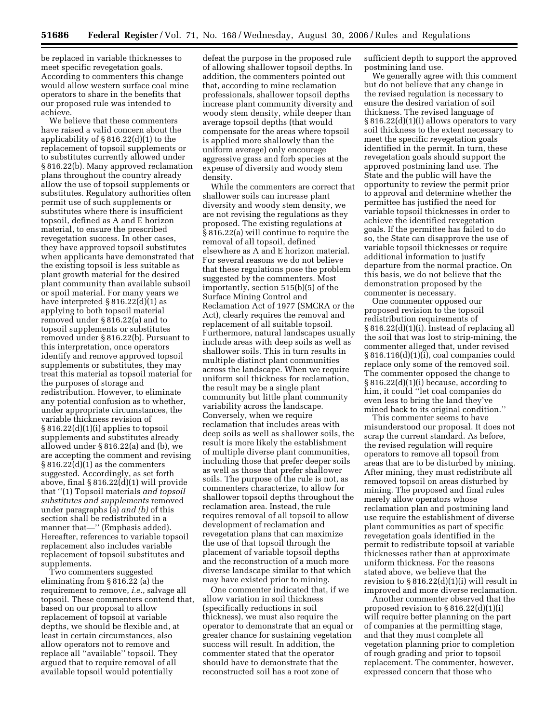be replaced in variable thicknesses to meet specific revegetation goals. According to commenters this change would allow western surface coal mine operators to share in the benefits that our proposed rule was intended to achieve.

We believe that these commenters have raised a valid concern about the applicability of  $\S 816.22(d)(1)$  to the replacement of topsoil supplements or to substitutes currently allowed under § 816.22(b). Many approved reclamation plans throughout the country already allow the use of topsoil supplements or substitutes. Regulatory authorities often permit use of such supplements or substitutes where there is insufficient topsoil, defined as A and E horizon material, to ensure the prescribed revegetation success. In other cases, they have approved topsoil substitutes when applicants have demonstrated that the existing topsoil is less suitable as plant growth material for the desired plant community than available subsoil or spoil material. For many years we have interpreted § 816.22(d)(1) as applying to both topsoil material removed under § 816.22(a) and to topsoil supplements or substitutes removed under § 816.22(b). Pursuant to this interpretation, once operators identify and remove approved topsoil supplements or substitutes, they may treat this material as topsoil material for the purposes of storage and redistribution. However, to eliminate any potential confusion as to whether, under appropriate circumstances, the variable thickness revision of § 816.22(d)(1)(i) applies to topsoil supplements and substitutes already allowed under § 816.22(a) and (b), we are accepting the comment and revising § 816.22(d)(1) as the commenters suggested. Accordingly, as set forth above, final § 816.22(d)(1) will provide that ''(1) Topsoil materials *and topsoil substitutes and supplements* removed under paragraph*s* (a) *and (b)* of this section shall be redistributed in a manner that—'' (Emphasis added). Hereafter, references to variable topsoil replacement also includes variable replacement of topsoil substitutes and supplements.

Two commenters suggested eliminating from § 816.22 (a) the requirement to remove, *i.e.*, salvage all topsoil. These commenters contend that, based on our proposal to allow replacement of topsoil at variable depths, we should be flexible and, at least in certain circumstances, also allow operators not to remove and replace all ''available'' topsoil. They argued that to require removal of all available topsoil would potentially

defeat the purpose in the proposed rule of allowing shallower topsoil depths. In addition, the commenters pointed out that, according to mine reclamation professionals, shallower topsoil depths increase plant community diversity and woody stem density, while deeper than average topsoil depths (that would compensate for the areas where topsoil is applied more shallowly than the uniform average) only encourage aggressive grass and forb species at the expense of diversity and woody stem density.

While the commenters are correct that shallower soils can increase plant diversity and woody stem density, we are not revising the regulations as they proposed. The existing regulations at § 816.22(a) will continue to require the removal of all topsoil, defined elsewhere as A and E horizon material. For several reasons we do not believe that these regulations pose the problem suggested by the commenters. Most importantly, section 515(b)(5) of the Surface Mining Control and Reclamation Act of 1977 (SMCRA or the Act), clearly requires the removal and replacement of all suitable topsoil. Furthermore, natural landscapes usually include areas with deep soils as well as shallower soils. This in turn results in multiple distinct plant communities across the landscape. When we require uniform soil thickness for reclamation, the result may be a single plant community but little plant community variability across the landscape. Conversely, when we require reclamation that includes areas with deep soils as well as shallower soils, the result is more likely the establishment of multiple diverse plant communities, including those that prefer deeper soils as well as those that prefer shallower soils. The purpose of the rule is not, as commenters characterize, to allow for shallower topsoil depths throughout the reclamation area. Instead, the rule requires removal of all topsoil to allow development of reclamation and revegetation plans that can maximize the use of that topsoil through the placement of variable topsoil depths and the reconstruction of a much more diverse landscape similar to that which may have existed prior to mining.

One commenter indicated that, if we allow variation in soil thickness (specifically reductions in soil thickness), we must also require the operator to demonstrate that an equal or greater chance for sustaining vegetation success will result. In addition, the commenter stated that the operator should have to demonstrate that the reconstructed soil has a root zone of

sufficient depth to support the approved postmining land use.

We generally agree with this comment but do not believe that any change in the revised regulation is necessary to ensure the desired variation of soil thickness. The revised language of § 816.22(d)(1)(i) allows operators to vary soil thickness to the extent necessary to meet the specific revegetation goals identified in the permit. In turn, these revegetation goals should support the approved postmining land use. The State and the public will have the opportunity to review the permit prior to approval and determine whether the permittee has justified the need for variable topsoil thicknesses in order to achieve the identified revegetation goals. If the permittee has failed to do so, the State can disapprove the use of variable topsoil thicknesses or require additional information to justify departure from the normal practice. On this basis, we do not believe that the demonstration proposed by the commenter is necessary.

One commenter opposed our proposed revision to the topsoil redistribution requirements of § 816.22(d)(1)(i). Instead of replacing all the soil that was lost to strip-mining, the commenter alleged that, under revised § 816.116(d)(1)(i), coal companies could replace only some of the removed soil. The commenter opposed the change to § 816.22(d)(1)(i) because, according to him, it could ''let coal companies do even less to bring the land they've mined back to its original condition.''

This commenter seems to have misunderstood our proposal. It does not scrap the current standard. As before, the revised regulation will require operators to remove all topsoil from areas that are to be disturbed by mining. After mining, they must redistribute all removed topsoil on areas disturbed by mining. The proposed and final rules merely allow operators whose reclamation plan and postmining land use require the establishment of diverse plant communities as part of specific revegetation goals identified in the permit to redistribute topsoil at variable thicknesses rather than at approximate uniform thickness. For the reasons stated above, we believe that the revision to  $\S 816.22(d)(1)(i)$  will result in improved and more diverse reclamation.

Another commenter observed that the proposed revision to § 816.22(d)(1)(i) will require better planning on the part of companies at the permitting stage, and that they must complete all vegetation planning prior to completion of rough grading and prior to topsoil replacement. The commenter, however, expressed concern that those who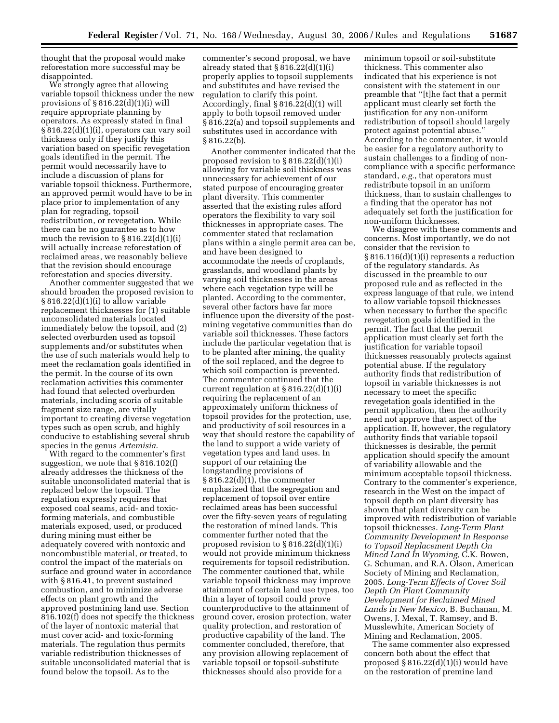thought that the proposal would make reforestation more successful may be disappointed.

We strongly agree that allowing variable topsoil thickness under the new provisions of  $\S 816.22(d)(1)(i)$  will require appropriate planning by operators. As expressly stated in final § 816.22(d)(1)(i), operators can vary soil thickness only if they justify this variation based on specific revegetation goals identified in the permit. The permit would necessarily have to include a discussion of plans for variable topsoil thickness. Furthermore, an approved permit would have to be in place prior to implementation of any plan for regrading, topsoil redistribution, or revegetation. While there can be no guarantee as to how much the revision to  $\S 816.22(d)(1)(i)$ will actually increase reforestation of reclaimed areas, we reasonably believe that the revision should encourage reforestation and species diversity.

Another commenter suggested that we should broaden the proposed revision to § 816.22(d)(1)(i) to allow variable replacement thicknesses for (1) suitable unconsolidated materials located immediately below the topsoil, and (2) selected overburden used as topsoil supplements and/or substitutes when the use of such materials would help to meet the reclamation goals identified in the permit. In the course of its own reclamation activities this commenter had found that selected overburden materials, including scoria of suitable fragment size range, are vitally important to creating diverse vegetation types such as open scrub, and highly conducive to establishing several shrub species in the genus *Artemisia*.

With regard to the commenter's first suggestion, we note that § 816.102(f) already addresses the thickness of the suitable unconsolidated material that is replaced below the topsoil. The regulation expressly requires that exposed coal seams, acid- and toxicforming materials, and combustible materials exposed, used, or produced during mining must either be adequately covered with nontoxic and noncombustible material, or treated, to control the impact of the materials on surface and ground water in accordance with § 816.41, to prevent sustained combustion, and to minimize adverse effects on plant growth and the approved postmining land use. Section 816.102(f) does not specify the thickness of the layer of nontoxic material that must cover acid- and toxic-forming materials. The regulation thus permits variable redistribution thicknesses of suitable unconsolidated material that is found below the topsoil. As to the

commenter's second proposal, we have already stated that  $\S 816.22(d)(1)(i)$ properly applies to topsoil supplements and substitutes and have revised the regulation to clarify this point. Accordingly, final § 816.22(d)(1) will apply to both topsoil removed under § 816.22(a) and topsoil supplements and substitutes used in accordance with § 816.22(b).

Another commenter indicated that the proposed revision to § 816.22(d)(1)(i) allowing for variable soil thickness was unnecessary for achievement of our stated purpose of encouraging greater plant diversity. This commenter asserted that the existing rules afford operators the flexibility to vary soil thicknesses in appropriate cases. The commenter stated that reclamation plans within a single permit area can be, and have been designed to accommodate the needs of croplands, grasslands, and woodland plants by varying soil thicknesses in the areas where each vegetation type will be planted. According to the commenter, several other factors have far more influence upon the diversity of the postmining vegetative communities than do variable soil thicknesses. These factors include the particular vegetation that is to be planted after mining, the quality of the soil replaced, and the degree to which soil compaction is prevented. The commenter continued that the current regulation at  $\S 816.22(d)(1)(i)$ requiring the replacement of an approximately uniform thickness of topsoil provides for the protection, use, and productivity of soil resources in a way that should restore the capability of the land to support a wide variety of vegetation types and land uses. In support of our retaining the longstanding provisions of § 816.22(d)(1), the commenter emphasized that the segregation and replacement of topsoil over entire reclaimed areas has been successful over the fifty-seven years of regulating the restoration of mined lands. This commenter further noted that the proposed revision to § 816.22(d)(1)(i) would not provide minimum thickness requirements for topsoil redistribution. The commenter cautioned that, while variable topsoil thickness may improve attainment of certain land use types, too thin a layer of topsoil could prove counterproductive to the attainment of ground cover, erosion protection, water quality protection, and restoration of productive capability of the land. The commenter concluded, therefore, that any provision allowing replacement of variable topsoil or topsoil-substitute thicknesses should also provide for a

minimum topsoil or soil-substitute thickness. This commenter also indicated that his experience is not consistent with the statement in our preamble that ''[t]he fact that a permit applicant must clearly set forth the justification for any non-uniform redistribution of topsoil should largely protect against potential abuse.'' According to the commenter, it would be easier for a regulatory authority to sustain challenges to a finding of noncompliance with a specific performance standard, *e.g.*, that operators must redistribute topsoil in an uniform thickness, than to sustain challenges to a finding that the operator has not adequately set forth the justification for non-uniform thicknesses.

We disagree with these comments and concerns. Most importantly, we do not consider that the revision to § 816.116(d)(1)(i) represents a reduction of the regulatory standards. As discussed in the preamble to our proposed rule and as reflected in the express language of that rule, we intend to allow variable topsoil thicknesses when necessary to further the specific revegetation goals identified in the permit. The fact that the permit application must clearly set forth the justification for variable topsoil thicknesses reasonably protects against potential abuse. If the regulatory authority finds that redistribution of topsoil in variable thicknesses is not necessary to meet the specific revegetation goals identified in the permit application, then the authority need not approve that aspect of the application. If, however, the regulatory authority finds that variable topsoil thicknesses is desirable, the permit application should specify the amount of variability allowable and the minimum acceptable topsoil thickness. Contrary to the commenter's experience, research in the West on the impact of topsoil depth on plant diversity has shown that plant diversity can be improved with redistribution of variable topsoil thicknesses. *Long-Term Plant Community Development In Response to Topsoil Replacement Depth On Mined Land In Wyoming,* C.K. Bowen, G. Schuman, and R.A. Olson, American Society of Mining and Reclamation, 2005. *Long-Term Effects of Cover Soil Depth On Plant Community Development for Reclaimed Mined Lands in New Mexico,* B. Buchanan, M. Owens, J. Mexal, T. Ramsey, and B. Musslewhite, American Society of Mining and Reclamation, 2005.

The same commenter also expressed concern both about the effect that proposed § 816.22(d)(1)(i) would have on the restoration of premine land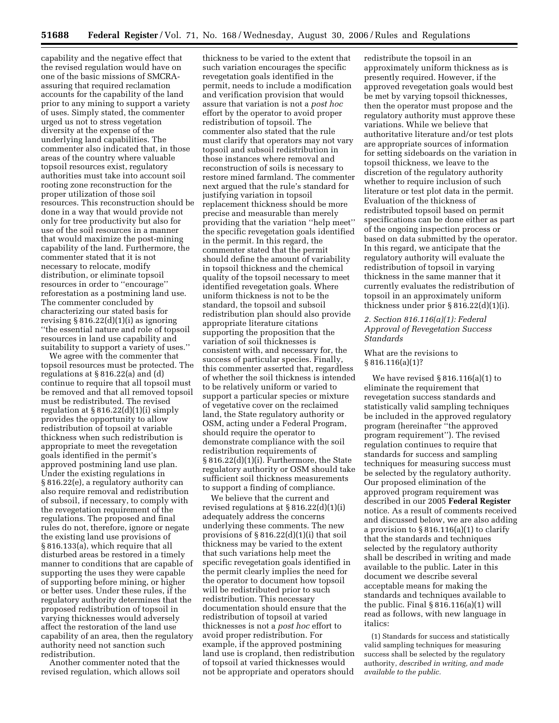capability and the negative effect that the revised regulation would have on one of the basic missions of SMCRAassuring that required reclamation accounts for the capability of the land prior to any mining to support a variety of uses. Simply stated, the commenter urged us not to stress vegetation diversity at the expense of the underlying land capabilities. The commenter also indicated that, in those areas of the country where valuable topsoil resources exist, regulatory authorities must take into account soil rooting zone reconstruction for the proper utilization of those soil resources. This reconstruction should be done in a way that would provide not only for tree productivity but also for use of the soil resources in a manner that would maximize the post-mining capability of the land. Furthermore, the commenter stated that it is not necessary to relocate, modify distribution, or eliminate topsoil resources in order to ''encourage'' reforestation as a postmining land use. The commenter concluded by characterizing our stated basis for revising  $§ 816.22(d)(1)(i)$  as ignoring ''the essential nature and role of topsoil resources in land use capability and suitability to support a variety of uses.''

We agree with the commenter that topsoil resources must be protected. The regulations at § 816.22(a) and (d) continue to require that all topsoil must be removed and that all removed topsoil must be redistributed. The revised regulation at  $§ 816.22(d)(1)(i)$  simply provides the opportunity to allow redistribution of topsoil at variable thickness when such redistribution is appropriate to meet the revegetation goals identified in the permit's approved postmining land use plan. Under the existing regulations in § 816.22(e), a regulatory authority can also require removal and redistribution of subsoil, if necessary, to comply with the revegetation requirement of the regulations. The proposed and final rules do not, therefore, ignore or negate the existing land use provisions of § 816.133(a), which require that all disturbed areas be restored in a timely manner to conditions that are capable of supporting the uses they were capable of supporting before mining, or higher or better uses. Under these rules, if the regulatory authority determines that the proposed redistribution of topsoil in varying thicknesses would adversely affect the restoration of the land use capability of an area, then the regulatory authority need not sanction such redistribution.

Another commenter noted that the revised regulation, which allows soil

thickness to be varied to the extent that such variation encourages the specific revegetation goals identified in the permit, needs to include a modification and verification provision that would assure that variation is not a *post hoc*  effort by the operator to avoid proper redistribution of topsoil. The commenter also stated that the rule must clarify that operators may not vary topsoil and subsoil redistribution in those instances where removal and reconstruction of soils is necessary to restore mined farmland. The commenter next argued that the rule's standard for justifying variation in topsoil replacement thickness should be more precise and measurable than merely providing that the variation ''help meet'' the specific revegetation goals identified in the permit. In this regard, the commenter stated that the permit should define the amount of variability in topsoil thickness and the chemical quality of the topsoil necessary to meet identified revegetation goals. Where uniform thickness is not to be the standard, the topsoil and subsoil redistribution plan should also provide appropriate literature citations supporting the proposition that the variation of soil thicknesses is consistent with, and necessary for, the success of particular species. Finally, this commenter asserted that, regardless of whether the soil thickness is intended to be relatively uniform or varied to support a particular species or mixture of vegetative cover on the reclaimed land, the State regulatory authority or OSM, acting under a Federal Program, should require the operator to demonstrate compliance with the soil redistribution requirements of § 816.22(d)(1)(i). Furthermore, the State regulatory authority or OSM should take sufficient soil thickness measurements to support a finding of compliance.

We believe that the current and revised regulations at § 816.22(d)(1)(i) adequately address the concerns underlying these comments. The new provisions of  $\S 816.22(d)(1)(i)$  that soil thickness may be varied to the extent that such variations help meet the specific revegetation goals identified in the permit clearly implies the need for the operator to document how topsoil will be redistributed prior to such redistribution. This necessary documentation should ensure that the redistribution of topsoil at varied thicknesses is not a *post hoc* effort to avoid proper redistribution. For example, if the approved postmining land use is cropland, then redistribution of topsoil at varied thicknesses would not be appropriate and operators should

redistribute the topsoil in an approximately uniform thickness as is presently required. However, if the approved revegetation goals would best be met by varying topsoil thicknesses, then the operator must propose and the regulatory authority must approve these variations. While we believe that authoritative literature and/or test plots are appropriate sources of information for setting sideboards on the variation in topsoil thickness, we leave to the discretion of the regulatory authority whether to require inclusion of such literature or test plot data in the permit. Evaluation of the thickness of redistributed topsoil based on permit specifications can be done either as part of the ongoing inspection process or based on data submitted by the operator. In this regard, we anticipate that the regulatory authority will evaluate the redistribution of topsoil in varying thickness in the same manner that it currently evaluates the redistribution of topsoil in an approximately uniform thickness under prior  $\S 816.22(d)(1)(i)$ .

## *2. Section 816.116(a)(1): Federal Approval of Revegetation Success Standards*

## What are the revisions to  $§ 816.116(a)(1)?$

We have revised § 816.116(a)(1) to eliminate the requirement that revegetation success standards and statistically valid sampling techniques be included in the approved regulatory program (hereinafter ''the approved program requirement''). The revised regulation continues to require that standards for success and sampling techniques for measuring success must be selected by the regulatory authority. Our proposed elimination of the approved program requirement was described in our 2005 **Federal Register**  notice. As a result of comments received and discussed below, we are also adding a provision to § 816.116(a)(1) to clarify that the standards and techniques selected by the regulatory authority shall be described in writing and made available to the public. Later in this document we describe several acceptable means for making the standards and techniques available to the public. Final  $\S 816.116(a)(1)$  will read as follows, with new language in italics:

(1) Standards for success and statistically valid sampling techniques for measuring success shall be selected by the regulatory authority, *described in writing, and made available to the public.*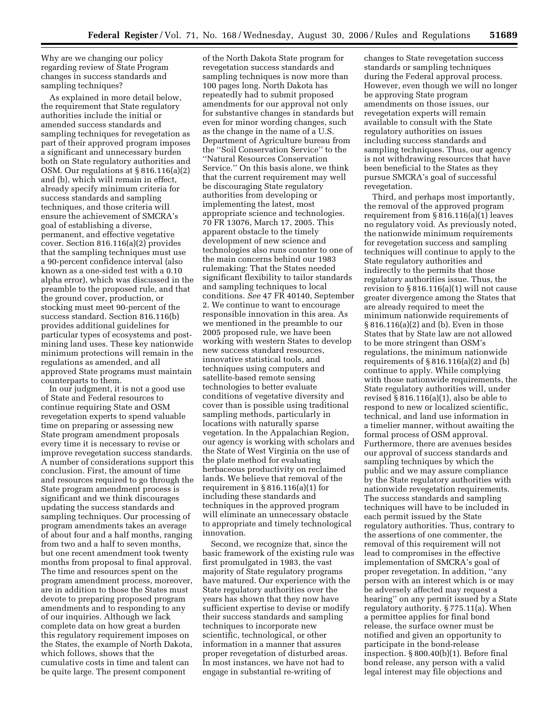Why are we changing our policy regarding review of State Program changes in success standards and sampling techniques?

As explained in more detail below, the requirement that State regulatory authorities include the initial or amended success standards and sampling techniques for revegetation as part of their approved program imposes a significant and unnecessary burden both on State regulatory authorities and OSM. Our regulations at § 816.116(a)(2) and (b), which will remain in effect, already specify minimum criteria for success standards and sampling techniques, and those criteria will ensure the achievement of SMCRA's goal of establishing a diverse, permanent, and effective vegetative cover. Section 816.116(a)(2) provides that the sampling techniques must use a 90-percent confidence interval (also known as a one-sided test with a 0.10 alpha error), which was discussed in the preamble to the proposed rule, and that the ground cover, production, or stocking must meet 90-percent of the success standard. Section 816.116(b) provides additional guidelines for particular types of ecosystems and postmining land uses. These key nationwide minimum protections will remain in the regulations as amended, and all approved State programs must maintain counterparts to them.

In our judgment, it is not a good use of State and Federal resources to continue requiring State and OSM revegetation experts to spend valuable time on preparing or assessing new State program amendment proposals every time it is necessary to revise or improve revegetation success standards. A number of considerations support this conclusion. First, the amount of time and resources required to go through the State program amendment process is significant and we think discourages updating the success standards and sampling techniques. Our processing of program amendments takes an average of about four and a half months, ranging from two and a half to seven months, but one recent amendment took twenty months from proposal to final approval. The time and resources spent on the program amendment process, moreover, are in addition to those the States must devote to preparing proposed program amendments and to responding to any of our inquiries. Although we lack complete data on how great a burden this regulatory requirement imposes on the States, the example of North Dakota, which follows, shows that the cumulative costs in time and talent can be quite large. The present component

of the North Dakota State program for revegetation success standards and sampling techniques is now more than 100 pages long. North Dakota has repeatedly had to submit proposed amendments for our approval not only for substantive changes in standards but even for minor wording changes, such as the change in the name of a U.S. Department of Agriculture bureau from the ''Soil Conservation Service'' to the ''Natural Resources Conservation Service.'' On this basis alone, we think that the current requirement may well be discouraging State regulatory authorities from developing or implementing the latest, most appropriate science and technologies. 70 FR 13076, March 17, 2005. This apparent obstacle to the timely development of new science and technologies also runs counter to one of the main concerns behind our 1983 rulemaking: That the States needed significant flexibility to tailor standards and sampling techniques to local conditions. *See* 47 FR 40140, September 2. We continue to want to encourage responsible innovation in this area. As we mentioned in the preamble to our 2005 proposed rule, we have been working with western States to develop new success standard resources, innovative statistical tools, and techniques using computers and satellite-based remote sensing technologies to better evaluate conditions of vegetative diversity and cover than is possible using traditional sampling methods, particularly in locations with naturally sparse vegetation. In the Appalachian Region, our agency is working with scholars and the State of West Virginia on the use of the plate method for evaluating herbaceous productivity on reclaimed lands. We believe that removal of the requirement in  $§ 816.116(a)(1)$  for including these standards and techniques in the approved program will eliminate an unnecessary obstacle to appropriate and timely technological innovation.

Second, we recognize that, since the basic framework of the existing rule was first promulgated in 1983, the vast majority of State regulatory programs have matured. Our experience with the State regulatory authorities over the years has shown that they now have sufficient expertise to devise or modify their success standards and sampling techniques to incorporate new scientific, technological, or other information in a manner that assures proper revegetation of disturbed areas. In most instances, we have not had to engage in substantial re-writing of

changes to State revegetation success standards or sampling techniques during the Federal approval process. However, even though we will no longer be approving State program amendments on those issues, our revegetation experts will remain available to consult with the State regulatory authorities on issues including success standards and sampling techniques. Thus, our agency is not withdrawing resources that have been beneficial to the States as they pursue SMCRA's goal of successful revegetation.

Third, and perhaps most importantly, the removal of the approved program requirement from § 816.116(a)(1) leaves no regulatory void. As previously noted, the nationwide minimum requirements for revegetation success and sampling techniques will continue to apply to the State regulatory authorities and indirectly to the permits that those regulatory authorities issue. Thus, the revision to  $\S 816.116(a)(1)$  will not cause greater divergence among the States that are already required to meet the minimum nationwide requirements of § 816.116(a)(2) and (b). Even in those States that by State law are not allowed to be more stringent than OSM's regulations, the minimum nationwide requirements of  $\S 816.116(a)(2)$  and (b) continue to apply. While complying with those nationwide requirements, the State regulatory authorities will, under revised § 816.116(a)(1), also be able to respond to new or localized scientific, technical, and land use information in a timelier manner, without awaiting the formal process of OSM approval. Furthermore, there are avenues besides our approval of success standards and sampling techniques by which the public and we may assure compliance by the State regulatory authorities with nationwide revegetation requirements. The success standards and sampling techniques will have to be included in each permit issued by the State regulatory authorities. Thus, contrary to the assertions of one commenter, the removal of this requirement will not lead to compromises in the effective implementation of SMCRA's goal of proper revegetation. In addition, ''any person with an interest which is or may be adversely affected may request a hearing'' on any permit issued by a State regulatory authority. § 775.11(a). When a permittee applies for final bond release, the surface owner must be notified and given an opportunity to participate in the bond-release inspection. § 800.40(b)(1). Before final bond release, any person with a valid legal interest may file objections and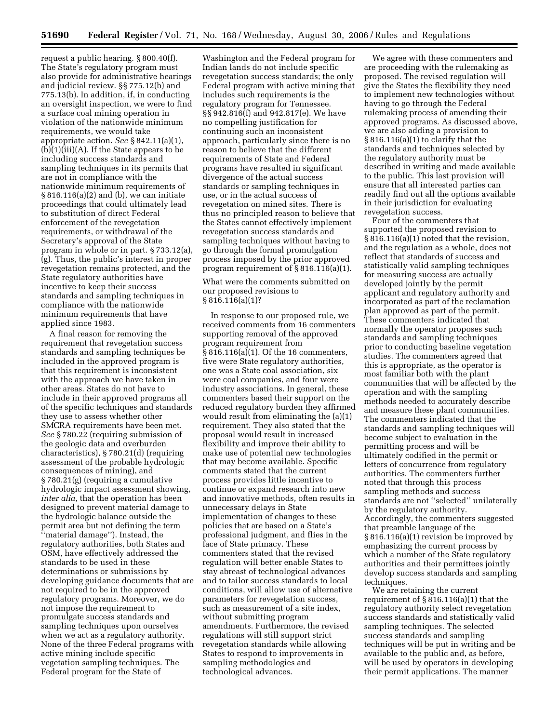request a public hearing. § 800.40(f). The State's regulatory program must also provide for administrative hearings and judicial review. §§ 775.12(b) and 775.13(b). In addition, if, in conducting an oversight inspection, we were to find a surface coal mining operation in violation of the nationwide minimum requirements, we would take appropriate action. *See* § 842.11(a)(1),  $(b)(i)(ii)(A)$ . If the State appears to be including success standards and sampling techniques in its permits that are not in compliance with the nationwide minimum requirements of § 816.116(a)(2) and (b), we can initiate proceedings that could ultimately lead to substitution of direct Federal enforcement of the revegetation requirements, or withdrawal of the Secretary's approval of the State program in whole or in part. § 733.12(a), (g). Thus, the public's interest in proper revegetation remains protected, and the State regulatory authorities have incentive to keep their success standards and sampling techniques in compliance with the nationwide minimum requirements that have applied since 1983.

A final reason for removing the requirement that revegetation success standards and sampling techniques be included in the approved program is that this requirement is inconsistent with the approach we have taken in other areas. States do not have to include in their approved programs all of the specific techniques and standards they use to assess whether other SMCRA requirements have been met. *See* § 780.22 (requiring submission of the geologic data and overburden characteristics), § 780.21(d) (requiring assessment of the probable hydrologic consequences of mining), and § 780.21(g) (requiring a cumulative hydrologic impact assessment showing, *inter alia*, that the operation has been designed to prevent material damage to the hydrologic balance outside the permit area but not defining the term ''material damage''). Instead, the regulatory authorities, both States and OSM, have effectively addressed the standards to be used in these determinations or submissions by developing guidance documents that are not required to be in the approved regulatory programs. Moreover, we do not impose the requirement to promulgate success standards and sampling techniques upon ourselves when we act as a regulatory authority. None of the three Federal programs with active mining include specific vegetation sampling techniques. The Federal program for the State of

Washington and the Federal program for Indian lands do not include specific revegetation success standards; the only Federal program with active mining that includes such requirements is the regulatory program for Tennessee. §§ 942.816(f) and 942.817(e). We have no compelling justification for continuing such an inconsistent approach, particularly since there is no reason to believe that the different requirements of State and Federal programs have resulted in significant divergence of the actual success standards or sampling techniques in use, or in the actual success of revegetation on mined sites. There is thus no principled reason to believe that the States cannot effectively implement revegetation success standards and sampling techniques without having to go through the formal promulgation process imposed by the prior approved program requirement of § 816.116(a)(1).

What were the comments submitted on our proposed revisions to § 816.116(a)(1)?

In response to our proposed rule, we received comments from 16 commenters supporting removal of the approved program requirement from § 816.116(a)(1). Of the 16 commenters, five were State regulatory authorities, one was a State coal association, six were coal companies, and four were industry associations. In general, these commenters based their support on the reduced regulatory burden they affirmed would result from eliminating the (a)(1) requirement. They also stated that the proposal would result in increased flexibility and improve their ability to make use of potential new technologies that may become available. Specific comments stated that the current process provides little incentive to continue or expand research into new and innovative methods, often results in unnecessary delays in State implementation of changes to these policies that are based on a State's professional judgment, and flies in the face of State primacy. These commenters stated that the revised regulation will better enable States to stay abreast of technological advances and to tailor success standards to local conditions, will allow use of alternative parameters for revegetation success, such as measurement of a site index, without submitting program amendments. Furthermore, the revised regulations will still support strict revegetation standards while allowing States to respond to improvements in sampling methodologies and technological advances.

We agree with these commenters and are proceeding with the rulemaking as proposed. The revised regulation will give the States the flexibility they need to implement new technologies without having to go through the Federal rulemaking process of amending their approved programs. As discussed above, we are also adding a provision to § 816.116(a)(1) to clarify that the standards and techniques selected by the regulatory authority must be described in writing and made available to the public. This last provision will ensure that all interested parties can readily find out all the options available in their jurisdiction for evaluating revegetation success.

Four of the commenters that supported the proposed revision to § 816.116(a)(1) noted that the revision, and the regulation as a whole, does not reflect that standards of success and statistically valid sampling techniques for measuring success are actually developed jointly by the permit applicant and regulatory authority and incorporated as part of the reclamation plan approved as part of the permit. These commenters indicated that normally the operator proposes such standards and sampling techniques prior to conducting baseline vegetation studies. The commenters agreed that this is appropriate, as the operator is most familiar both with the plant communities that will be affected by the operation and with the sampling methods needed to accurately describe and measure these plant communities. The commenters indicated that the standards and sampling techniques will become subject to evaluation in the permitting process and will be ultimately codified in the permit or letters of concurrence from regulatory authorities. The commenters further noted that through this process sampling methods and success standards are not ''selected'' unilaterally by the regulatory authority. Accordingly, the commenters suggested that preamble language of the § 816.116(a)(1) revision be improved by emphasizing the current process by which a number of the State regulatory authorities and their permittees jointly develop success standards and sampling techniques.

We are retaining the current requirement of § 816.116(a)(1) that the regulatory authority select revegetation success standards and statistically valid sampling techniques. The selected success standards and sampling techniques will be put in writing and be available to the public and, as before, will be used by operators in developing their permit applications. The manner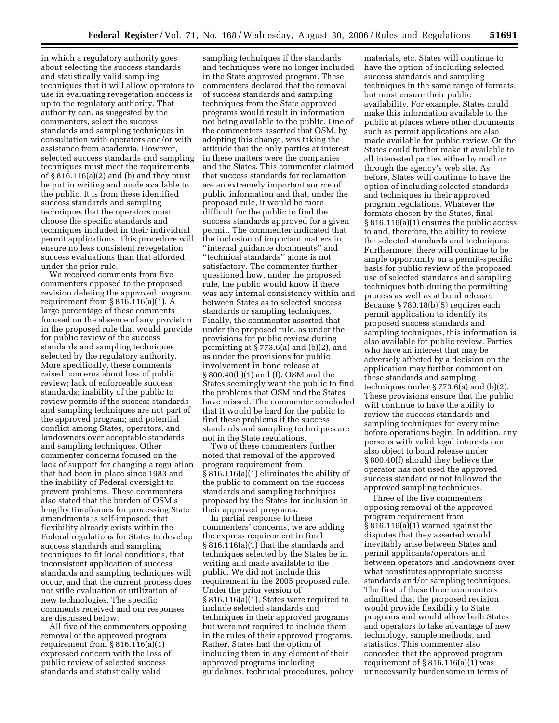in which a regulatory authority goes about selecting the success standards and statistically valid sampling techniques that it will allow operators to use in evaluating revegetation success is up to the regulatory authority. That authority can, as suggested by the commenters, select the success standards and sampling techniques in consultation with operators and/or with assistance from academia. However, selected success standards and sampling techniques must meet the requirements of § 816.116(a)(2) and (b) and they must be put in writing and made available to the public. It is from these identified success standards and sampling techniques that the operators must choose the specific standards and techniques included in their individual permit applications. This procedure will ensure no less consistent revegetation success evaluations than that afforded under the prior rule.

We received comments from five commenters opposed to the proposed revision deleting the approved program requirement from  $\S 816.116(a)(1)$ . A large percentage of these comments focused on the absence of any provision in the proposed rule that would provide for public review of the success standards and sampling techniques selected by the regulatory authority. More specifically, these comments raised concerns about loss of public review; lack of enforceable success standards; inability of the public to review permits if the success standards and sampling techniques are not part of the approved program; and potential conflict among States, operators, and landowners over acceptable standards and sampling techniques. Other commenter concerns focused on the lack of support for changing a regulation that had been in place since 1983 and the inability of Federal oversight to prevent problems. These commenters also stated that the burden of OSM's lengthy timeframes for processing State amendments is self-imposed, that flexibility already exists within the Federal regulations for States to develop success standards and sampling techniques to fit local conditions, that inconsistent application of success standards and sampling techniques will occur, and that the current process does not stifle evaluation or utilization of new technologies. The specific comments received and our responses are discussed below.

All five of the commenters opposing removal of the approved program requirement from § 816.116(a)(1) expressed concern with the loss of public review of selected success standards and statistically valid

sampling techniques if the standards and techniques were no longer included in the State approved program. These commenters declared that the removal of success standards and sampling techniques from the State approved programs would result in information not being available to the public. One of the commenters asserted that OSM, by adopting this change, was taking the attitude that the only parties at interest in these matters were the companies and the States. This commenter claimed that success standards for reclamation are an extremely important source of public information and that, under the proposed rule, it would be more difficult for the public to find the success standards approved for a given permit. The commenter indicated that the inclusion of important matters in ''internal guidance documents'' and ''technical standards'' alone is not satisfactory. The commenter further questioned how, under the proposed rule, the public would know if there was any internal consistency within and between States as to selected success standards or sampling techniques. Finally, the commenter asserted that under the proposed rule, as under the provisions for public review during permitting at § 773.6(a) and (b)(2), and as under the provisions for public involvement in bond release at § 800.40(b)(1) and (f), OSM and the States seemingly want the public to find the problems that OSM and the States have missed. The commenter concluded that it would be hard for the public to find these problems if the success standards and sampling techniques are not in the State regulations.

Two of these commenters further noted that removal of the approved program requirement from § 816.116(a)(1) eliminates the ability of the public to comment on the success standards and sampling techniques proposed by the States for inclusion in their approved programs.

In partial response to these commenters' concerns, we are adding the express requirement in final § 816.116(a)(1) that the standards and techniques selected by the States be in writing and made available to the public. We did not include this requirement in the 2005 proposed rule. Under the prior version of § 816.116(a)(1), States were required to include selected standards and techniques in their approved programs but were not required to include them in the rules of their approved programs. Rather, States had the option of including them in any element of their approved programs including guidelines, technical procedures, policy

materials, etc. States will continue to have the option of including selected success standards and sampling techniques in the same range of formats, but must ensure their public availability. For example, States could make this information available to the public at places where other documents such as permit applications are also made available for public review. Or the States could further make it available to all interested parties either by mail or through the agency's web site. As before, States will continue to have the option of including selected standards and techniques in their approved program regulations. Whatever the formats chosen by the States, final § 816.116(a)(1) ensures the public access to and, therefore, the ability to review the selected standards and techniques. Furthermore, there will continue to be ample opportunity on a permit-specific basis for public review of the proposed use of selected standards and sampling techniques both during the permitting process as well as at bond release. Because § 780.18(b)(5) requires each permit application to identify its proposed success standards and sampling techniques, this information is also available for public review. Parties who have an interest that may be adversely affected by a decision on the application may further comment on these standards and sampling techniques under § 773.6(a) and (b)(2). These provisions ensure that the public will continue to have the ability to review the success standards and sampling techniques for every mine before operations begin. In addition, any persons with valid legal interests can also object to bond release under § 800.40(f) should they believe the operator has not used the approved success standard or not followed the approved sampling techniques.

Three of the five commenters opposing removal of the approved program requirement from § 816.116(a)(1) warned against the disputes that they asserted would inevitably arise between States and permit applicants/operators and between operators and landowners over what constitutes appropriate success standards and/or sampling techniques. The first of these three commenters admitted that the proposed revision would provide flexibility to State programs and would allow both States and operators to take advantage of new technology, sample methods, and statistics. This commenter also conceded that the approved program requirement of  $\S 816.116(a)(1)$  was unnecessarily burdensome in terms of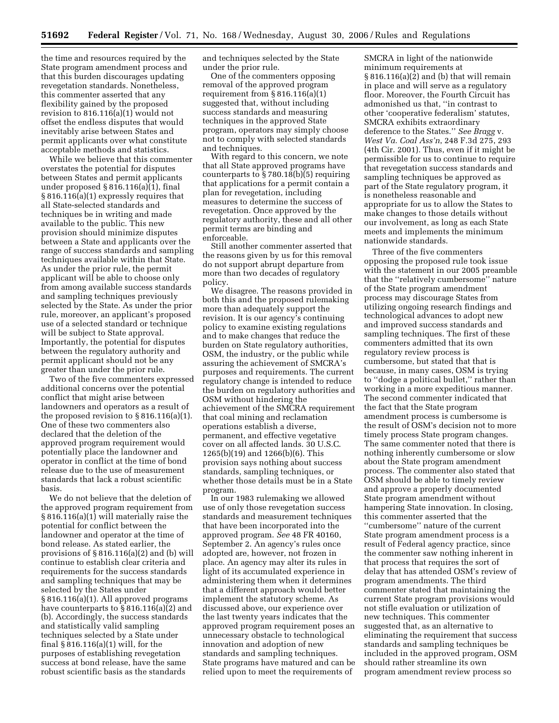the time and resources required by the State program amendment process and that this burden discourages updating revegetation standards. Nonetheless, this commenter asserted that any flexibility gained by the proposed revision to 816.116(a)(1) would not offset the endless disputes that would inevitably arise between States and permit applicants over what constitute acceptable methods and statistics.

While we believe that this commenter overstates the potential for disputes between States and permit applicants under proposed § 816.116(a)(1), final § 816.116(a)(1) expressly requires that all State-selected standards and techniques be in writing and made available to the public. This new provision should minimize disputes between a State and applicants over the range of success standards and sampling techniques available within that State. As under the prior rule, the permit applicant will be able to choose only from among available success standards and sampling techniques previously selected by the State. As under the prior rule, moreover, an applicant's proposed use of a selected standard or technique will be subject to State approval. Importantly, the potential for disputes between the regulatory authority and permit applicant should not be any greater than under the prior rule.

Two of the five commenters expressed additional concerns over the potential conflict that might arise between landowners and operators as a result of the proposed revision to § 816.116(a)(1). One of these two commenters also declared that the deletion of the approved program requirement would potentially place the landowner and operator in conflict at the time of bond release due to the use of measurement standards that lack a robust scientific basis.

We do not believe that the deletion of the approved program requirement from § 816.116(a)(1) will materially raise the potential for conflict between the landowner and operator at the time of bond release. As stated earlier, the provisions of  $\S 816.116(a)(2)$  and (b) will continue to establish clear criteria and requirements for the success standards and sampling techniques that may be selected by the States under § 816.116(a)(1). All approved programs have counterparts to § 816.116(a)(2) and (b). Accordingly, the success standards and statistically valid sampling techniques selected by a State under final § 816.116(a)(1) will, for the purposes of establishing revegetation success at bond release, have the same robust scientific basis as the standards

and techniques selected by the State under the prior rule.

One of the commenters opposing removal of the approved program requirement from  $\S 816.116(a)(1)$ suggested that, without including success standards and measuring techniques in the approved State program, operators may simply choose not to comply with selected standards and techniques.

With regard to this concern, we note that all State approved programs have counterparts to § 780.18(b)(5) requiring that applications for a permit contain a plan for revegetation, including measures to determine the success of revegetation. Once approved by the regulatory authority, these and all other permit terms are binding and enforceable.

Still another commenter asserted that the reasons given by us for this removal do not support abrupt departure from more than two decades of regulatory policy.

We disagree. The reasons provided in both this and the proposed rulemaking more than adequately support the revision. It is our agency's continuing policy to examine existing regulations and to make changes that reduce the burden on State regulatory authorities, OSM, the industry, or the public while assuring the achievement of SMCRA's purposes and requirements. The current regulatory change is intended to reduce the burden on regulatory authorities and OSM without hindering the achievement of the SMCRA requirement that coal mining and reclamation operations establish a diverse, permanent, and effective vegetative cover on all affected lands. 30 U.S.C. 1265(b)(19) and 1266(b)(6). This provision says nothing about success standards, sampling techniques, or whether those details must be in a State program.

In our 1983 rulemaking we allowed use of only those revegetation success standards and measurement techniques that have been incorporated into the approved program. *See* 48 FR 40160, September 2. An agency's rules once adopted are, however, not frozen in place. An agency may alter its rules in light of its accumulated experience in administering them when it determines that a different approach would better implement the statutory scheme. As discussed above, our experience over the last twenty years indicates that the approved program requirement poses an unnecessary obstacle to technological innovation and adoption of new standards and sampling techniques. State programs have matured and can be relied upon to meet the requirements of

SMCRA in light of the nationwide minimum requirements at § 816.116(a)(2) and (b) that will remain in place and will serve as a regulatory floor. Moreover, the Fourth Circuit has admonished us that, ''in contrast to other 'cooperative federalism' statutes, SMCRA exhibits extraordinary deference to the States.'' *See Bragg* v. *West Va. Coal Ass'n*, 248 F.3d 275, 293 (4th Cir. 2001). Thus, even if it might be permissible for us to continue to require that revegetation success standards and sampling techniques be approved as part of the State regulatory program, it is nonetheless reasonable and appropriate for us to allow the States to make changes to those details without our involvement, as long as each State meets and implements the minimum nationwide standards.

Three of the five commenters opposing the proposed rule took issue with the statement in our 2005 preamble that the ''relatively cumbersome'' nature of the State program amendment process may discourage States from utilizing ongoing research findings and technological advances to adopt new and improved success standards and sampling techniques. The first of these commenters admitted that its own regulatory review process is cumbersome, but stated that that is because, in many cases, OSM is trying to ''dodge a political bullet,'' rather than working in a more expeditious manner. The second commenter indicated that the fact that the State program amendment process is cumbersome is the result of OSM's decision not to more timely process State program changes. The same commenter noted that there is nothing inherently cumbersome or slow about the State program amendment process. The commenter also stated that OSM should be able to timely review and approve a properly documented State program amendment without hampering State innovation. In closing, this commenter asserted that the ''cumbersome'' nature of the current State program amendment process is a result of Federal agency practice, since the commenter saw nothing inherent in that process that requires the sort of delay that has attended OSM's review of program amendments. The third commenter stated that maintaining the current State program provisions would not stifle evaluation or utilization of new techniques. This commenter suggested that, as an alternative to eliminating the requirement that success standards and sampling techniques be included in the approved program, OSM should rather streamline its own program amendment review process so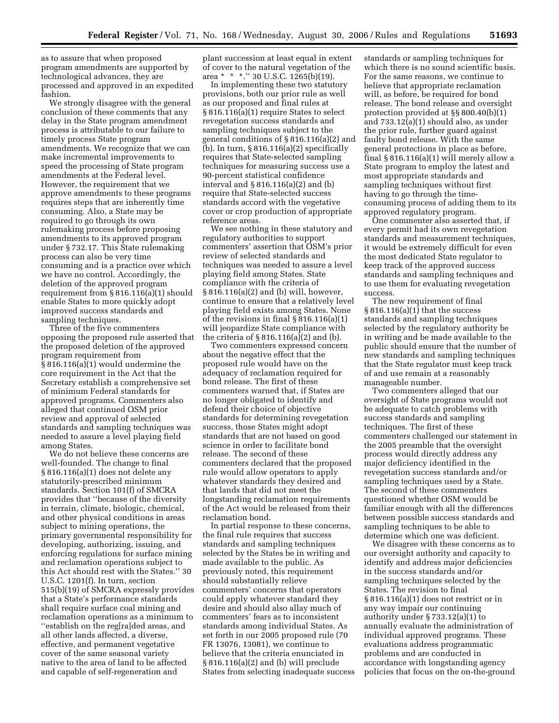as to assure that when proposed program amendments are supported by technological advances, they are processed and approved in an expedited fashion.

We strongly disagree with the general conclusion of these comments that any delay in the State program amendment process is attributable to our failure to timely process State program amendments. We recognize that we can make incremental improvements to speed the processing of State program amendments at the Federal level. However, the requirement that we approve amendments to these programs requires steps that are inherently time consuming. Also, a State may be required to go through its own rulemaking process before proposing amendments to its approved program under § 732.17. This State rulemaking process can also be very time consuming and is a practice over which we have no control. Accordingly, the deletion of the approved program requirement from § 816.116(a)(1) should enable States to more quickly adopt improved success standards and sampling techniques.

Three of the five commenters opposing the proposed rule asserted that the proposed deletion of the approved program requirement from § 816.116(a)(1) would undermine the core requirement in the Act that the Secretary establish a comprehensive set of minimum Federal standards for approved programs. Commenters also alleged that continued OSM prior review and approval of selected standards and sampling techniques was needed to assure a level playing field among States.

We do not believe these concerns are well-founded. The change to final § 816.116(a)(1) does not delete any statutorily-prescribed minimum standards. Section 101(f) of SMCRA provides that ''because of the diversity in terrain, climate, biologic, chemical, and other physical conditions in areas subject to mining operations, the primary governmental responsibility for developing, authorizing, issuing, and enforcing regulations for surface mining and reclamation operations subject to this Act should rest with the States.'' 30 U.S.C. 1201(f). In turn, section 515(b)(19) of SMCRA expressly provides that a State's performance standards shall require surface coal mining and reclamation operations as a minimum to ''establish on the reg[ra]ded areas, and all other lands affected, a diverse, effective, and permanent vegetative cover of the same seasonal variety native to the area of land to be affected and capable of self-regeneration and

plant succession at least equal in extent of cover to the natural vegetation of the area \* \* \*.'' 30 U.S.C. 1265(b)(19).

In implementing these two statutory provisions, both our prior rule as well as our proposed and final rules at § 816.116(a)(1) require States to select revegetation success standards and sampling techniques subject to the general conditions of § 816.116(a)(2) and (b). In turn,  $\S 816.116(a)(2)$  specifically requires that State-selected sampling techniques for measuring success use a 90-percent statistical confidence interval and § 816.116(a)(2) and (b) require that State-selected success standards accord with the vegetative cover or crop production of appropriate reference areas.

We see nothing in these statutory and regulatory authorities to support commenters' assertion that OSM's prior review of selected standards and techniques was needed to assure a level playing field among States. State compliance with the criteria of § 816.116(a)(2) and (b) will, however, continue to ensure that a relatively level playing field exists among States. None of the revisions in final § 816.116(a)(1) will jeopardize State compliance with the criteria of  $\S 816.116(a)(2)$  and (b).

Two commenters expressed concern about the negative effect that the proposed rule would have on the adequacy of reclamation required for bond release. The first of these commenters warned that, if States are no longer obligated to identify and defend their choice of objective standards for determining revegetation success, those States might adopt standards that are not based on good science in order to facilitate bond release. The second of these commenters declared that the proposed rule would allow operators to apply whatever standards they desired and that lands that did not meet the longstanding reclamation requirements of the Act would be released from their reclamation bond.

In partial response to these concerns, the final rule requires that success standards and sampling techniques selected by the States be in writing and made available to the public. As previously noted, this requirement should substantially relieve commenters' concerns that operators could apply whatever standard they desire and should also allay much of commenters' fears as to inconsistent standards among individual States. As set forth in our 2005 proposed rule (70 FR 13076, 13081), we continue to believe that the criteria enunciated in § 816.116(a)(2) and (b) will preclude States from selecting inadequate success standards or sampling techniques for which there is no sound scientific basis. For the same reasons, we continue to believe that appropriate reclamation will, as before, be required for bond release. The bond release and oversight protection provided at §§ 800.40(b)(1) and 733.12(a)(1) should also, as under the prior rule, further guard against faulty bond release. With the same general protections in place as before, final § 816.116(a)(1) will merely allow a State program to employ the latest and most appropriate standards and sampling techniques without first having to go through the timeconsuming process of adding them to its approved regulatory program.

One commenter also asserted that, if every permit had its own revegetation standards and measurement techniques, it would be extremely difficult for even the most dedicated State regulator to keep track of the approved success standards and sampling techniques and to use them for evaluating revegetation success.

The new requirement of final § 816.116(a)(1) that the success standards and sampling techniques selected by the regulatory authority be in writing and be made available to the public should ensure that the number of new standards and sampling techniques that the State regulator must keep track of and use remain at a reasonably manageable number.

Two commenters alleged that our oversight of State programs would not be adequate to catch problems with success standards and sampling techniques. The first of these commenters challenged our statement in the 2005 preamble that the oversight process would directly address any major deficiency identified in the revegetation success standards and/or sampling techniques used by a State. The second of these commenters questioned whether OSM would be familiar enough with all the differences between possible success standards and sampling techniques to be able to determine which one was deficient.

We disagree with these concerns as to our oversight authority and capacity to identify and address major deficiencies in the success standards and/or sampling techniques selected by the States. The revision to final § 816.116(a)(1) does not restrict or in any way impair our continuing authority under § 733.12(a)(1) to annually evaluate the administration of individual approved programs. These evaluations address programmatic problems and are conducted in accordance with longstanding agency policies that focus on the on-the-ground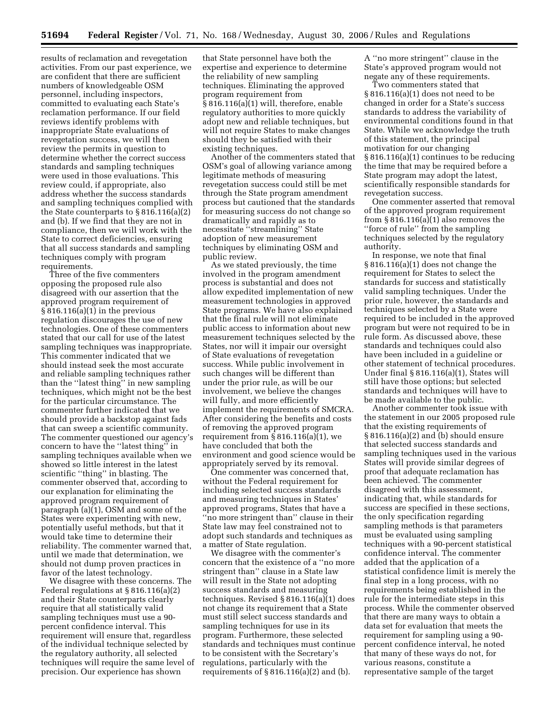results of reclamation and revegetation activities. From our past experience, we are confident that there are sufficient numbers of knowledgeable OSM personnel, including inspectors, committed to evaluating each State's reclamation performance. If our field reviews identify problems with inappropriate State evaluations of revegetation success, we will then review the permits in question to determine whether the correct success standards and sampling techniques were used in those evaluations. This review could, if appropriate, also address whether the success standards and sampling techniques complied with the State counterparts to  $\S 816.116(a)(2)$ and (b). If we find that they are not in compliance, then we will work with the State to correct deficiencies, ensuring that all success standards and sampling techniques comply with program requirements.

Three of the five commenters opposing the proposed rule also disagreed with our assertion that the approved program requirement of § 816.116(a)(1) in the previous regulation discourages the use of new technologies. One of these commenters stated that our call for use of the latest sampling techniques was inappropriate. This commenter indicated that we should instead seek the most accurate and reliable sampling techniques rather than the ''latest thing'' in new sampling techniques, which might not be the best for the particular circumstance. The commenter further indicated that we should provide a backstop against fads that can sweep a scientific community. The commenter questioned our agency's concern to have the ''latest thing'' in sampling techniques available when we showed so little interest in the latest scientific ''thing'' in blasting. The commenter observed that, according to our explanation for eliminating the approved program requirement of paragraph (a)(1), OSM and some of the States were experimenting with new, potentially useful methods, but that it would take time to determine their reliability. The commenter warned that, until we made that determination, we should not dump proven practices in favor of the latest technology.

We disagree with these concerns. The Federal regulations at § 816.116(a)(2) and their State counterparts clearly require that all statistically valid sampling techniques must use a 90 percent confidence interval. This requirement will ensure that, regardless of the individual technique selected by the regulatory authority, all selected techniques will require the same level of precision. Our experience has shown

that State personnel have both the expertise and experience to determine the reliability of new sampling techniques. Eliminating the approved program requirement from § 816.116(a)(1) will, therefore, enable regulatory authorities to more quickly adopt new and reliable techniques, but will not require States to make changes should they be satisfied with their existing techniques.

Another of the commenters stated that OSM's goal of allowing variance among legitimate methods of measuring revegetation success could still be met through the State program amendment process but cautioned that the standards for measuring success do not change so dramatically and rapidly as to necessitate ''streamlining'' State adoption of new measurement techniques by eliminating OSM and public review.

As we stated previously, the time involved in the program amendment process is substantial and does not allow expedited implementation of new measurement technologies in approved State programs. We have also explained that the final rule will not eliminate public access to information about new measurement techniques selected by the States, nor will it impair our oversight of State evaluations of revegetation success. While public involvement in such changes will be different than under the prior rule, as will be our involvement, we believe the changes will fully, and more efficiently implement the requirements of SMCRA. After considering the benefits and costs of removing the approved program requirement from  $\S 816.116(a)(1)$ , we have concluded that both the environment and good science would be appropriately served by its removal.

One commenter was concerned that, without the Federal requirement for including selected success standards and measuring techniques in States' approved programs, States that have a ''no more stringent than'' clause in their State law may feel constrained not to adopt such standards and techniques as a matter of State regulation.

We disagree with the commenter's concern that the existence of a ''no more stringent than'' clause in a State law will result in the State not adopting success standards and measuring techniques. Revised § 816.116(a)(1) does not change its requirement that a State must still select success standards and sampling techniques for use in its program. Furthermore, these selected standards and techniques must continue to be consistent with the Secretary's regulations, particularly with the requirements of  $\S 816.116(a)(2)$  and (b).

A ''no more stringent'' clause in the State's approved program would not negate any of these requirements.

Two commenters stated that § 816.116(a)(1) does not need to be changed in order for a State's success standards to address the variability of environmental conditions found in that State. While we acknowledge the truth of this statement, the principal motivation for our changing § 816.116(a)(1) continues to be reducing the time that may be required before a State program may adopt the latest, scientifically responsible standards for revegetation success.

One commenter asserted that removal of the approved program requirement from  $\S$ 816.116(a)(1) also removes the ''force of rule'' from the sampling techniques selected by the regulatory authority.

In response, we note that final § 816.116(a)(1) does not change the requirement for States to select the standards for success and statistically valid sampling techniques. Under the prior rule, however, the standards and techniques selected by a State were required to be included in the approved program but were not required to be in rule form. As discussed above, these standards and techniques could also have been included in a guideline or other statement of technical procedures. Under final § 816.116(a)(1), States will still have those options; but selected standards and techniques will have to be made available to the public.

Another commenter took issue with the statement in our 2005 proposed rule that the existing requirements of § 816.116(a)(2) and (b) should ensure that selected success standards and sampling techniques used in the various States will provide similar degrees of proof that adequate reclamation has been achieved. The commenter disagreed with this assessment, indicating that, while standards for success are specified in these sections, the only specification regarding sampling methods is that parameters must be evaluated using sampling techniques with a 90-percent statistical confidence interval. The commenter added that the application of a statistical confidence limit is merely the final step in a long process, with no requirements being established in the rule for the intermediate steps in this process. While the commenter observed that there are many ways to obtain a data set for evaluation that meets the requirement for sampling using a 90 percent confidence interval, he noted that many of these ways do not, for various reasons, constitute a representative sample of the target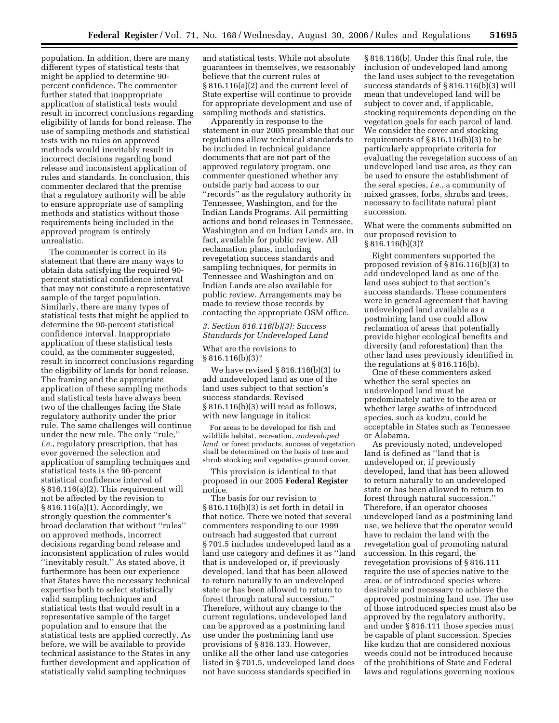population. In addition, there are many different types of statistical tests that might be applied to determine 90 percent confidence. The commenter further stated that inappropriate application of statistical tests would result in incorrect conclusions regarding eligibility of lands for bond release. The use of sampling methods and statistical tests with no rules on approved methods would inevitably result in incorrect decisions regarding bond release and inconsistent application of rules and standards. In conclusion, this commenter declared that the premise that a regulatory authority will be able to ensure appropriate use of sampling methods and statistics without those requirements being included in the approved program is entirely unrealistic.

The commenter is correct in its statement that there are many ways to obtain data satisfying the required 90 percent statistical confidence interval that may not constitute a representative sample of the target population. Similarly, there are many types of statistical tests that might be applied to determine the 90-percent statistical confidence interval. Inappropriate application of these statistical tests could, as the commenter suggested, result in incorrect conclusions regarding the eligibility of lands for bond release. The framing and the appropriate application of these sampling methods and statistical tests have always been two of the challenges facing the State regulatory authority under the prior rule. The same challenges will continue under the new rule. The only ''rule,'' *i.e.*, regulatory prescription, that has ever governed the selection and application of sampling techniques and statistical tests is the 90-percent statistical confidence interval of § 816.116(a)(2). This requirement will not be affected by the revision to § 816.116(a)(1). Accordingly, we strongly question the commenter's broad declaration that without ''rules'' on approved methods, incorrect decisions regarding bond release and inconsistent application of rules would ''inevitably result.'' As stated above, it furthermore has been our experience that States have the necessary technical expertise both to select statistically valid sampling techniques and statistical tests that would result in a representative sample of the target population and to ensure that the statistical tests are applied correctly. As before, we will be available to provide technical assistance to the States in any further development and application of statistically valid sampling techniques

and statistical tests. While not absolute guarantees in themselves, we reasonably believe that the current rules at § 816.116(a)(2) and the current level of State expertise will continue to provide for appropriate development and use of sampling methods and statistics.

Apparently in response to the statement in our 2005 preamble that our regulations allow technical standards to be included in technical guidance documents that are not part of the approved regulatory program, one commenter questioned whether any outside party had access to our ''records'' as the regulatory authority in Tennessee, Washington, and for the Indian Lands Programs. All permitting actions and bond releases in Tennessee, Washington and on Indian Lands are, in fact, available for public review. All reclamation plans, including revegetation success standards and sampling techniques, for permits in Tennessee and Washington and on Indian Lands are also available for public review. Arrangements may be made to review those records by contacting the appropriate OSM office.

## *3. Section 816.116(b)(3): Success Standards for Undeveloped Land*

What are the revisions to  $§ 816.116(b)(3)?$ 

We have revised § 816.116(b)(3) to add undeveloped land as one of the land uses subject to that section's success standards. Revised § 816.116(b)(3) will read as follows, with new language in italics:

For areas to be developed for fish and wildlife habitat, recreation, *undeveloped land*, or forest products, success of vegetation shall be determined on the basis of tree and shrub stocking and vegetative ground cover.

This provision is identical to that proposed in our 2005 **Federal Register**  notice.

The basis for our revision to § 816.116(b)(3) is set forth in detail in that notice. There we noted that several commenters responding to our 1999 outreach had suggested that current § 701.5 includes undeveloped land as a land use category and defines it as ''land that is undeveloped or, if previously developed, land that has been allowed to return naturally to an undeveloped state or has been allowed to return to forest through natural succession.'' Therefore, without any change to the current regulations, undeveloped land can be approved as a postmining land use under the postmining land use provisions of § 816.133. However, unlike all the other land use categories listed in § 701.5, undeveloped land does not have success standards specified in

§ 816.116(b). Under this final rule, the inclusion of undeveloped land among the land uses subject to the revegetation success standards of § 816.116(b)(3) will mean that undeveloped land will be subject to cover and, if applicable, stocking requirements depending on the vegetation goals for each parcel of land. We consider the cover and stocking requirements of § 816.116(b)(3) to be particularly appropriate criteria for evaluating the revegetation success of an undeveloped land use area, as they can be used to ensure the establishment of the seral species, *i.e.*, a community of mixed grasses, forbs, shrubs and trees, necessary to facilitate natural plant succession.

What were the comments submitted on our proposed revision to § 816.116(b)(3)?

Eight commenters supported the proposed revision of § 816.116(b)(3) to add undeveloped land as one of the land uses subject to that section's success standards. These commenters were in general agreement that having undeveloped land available as a postmining land use could allow reclamation of areas that potentially provide higher ecological benefits and diversity (and reforestation) than the other land uses previously identified in the regulations at § 816.116(b).

One of these commenters asked whether the seral species on undeveloped land must be predominately native to the area or whether large swaths of introduced species, such as kudzu, could be acceptable in States such as Tennessee or Alabama.

As previously noted, undeveloped land is defined as ''land that is undeveloped or, if previously developed, land that has been allowed to return naturally to an undeveloped state or has been allowed to return to forest through natural succession.'' Therefore, if an operator chooses undeveloped land as a postmining land use, we believe that the operator would have to reclaim the land with the revegetation goal of promoting natural succession. In this regard, the revegetation provisions of § 816.111 require the use of species native to the area, or of introduced species where desirable and necessary to achieve the approved postmining land use. The use of those introduced species must also be approved by the regulatory authority, and under § 816.111 those species must be capable of plant succession. Species like kudzu that are considered noxious weeds could not be introduced because of the prohibitions of State and Federal laws and regulations governing noxious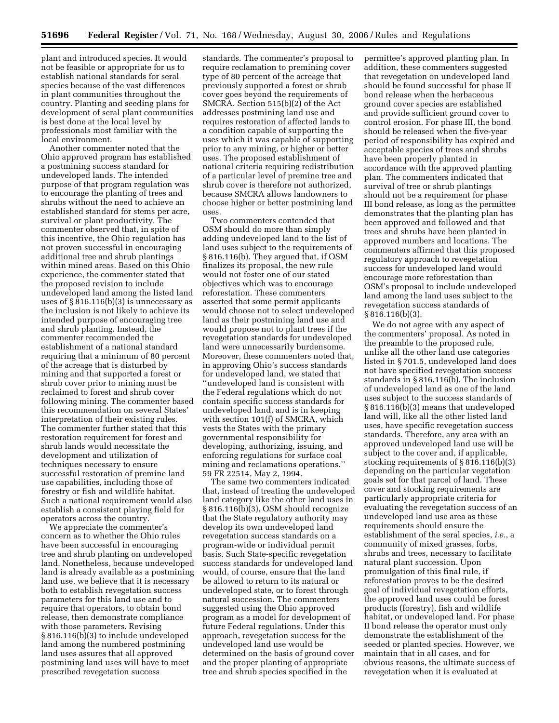plant and introduced species. It would not be feasible or appropriate for us to establish national standards for seral species because of the vast differences in plant communities throughout the country. Planting and seeding plans for development of seral plant communities is best done at the local level by professionals most familiar with the local environment.

Another commenter noted that the Ohio approved program has established a postmining success standard for undeveloped lands. The intended purpose of that program regulation was to encourage the planting of trees and shrubs without the need to achieve an established standard for stems per acre, survival or plant productivity. The commenter observed that, in spite of this incentive, the Ohio regulation has not proven successful in encouraging additional tree and shrub plantings within mined areas. Based on this Ohio experience, the commenter stated that the proposed revision to include undeveloped land among the listed land uses of  $\S 816.116(b)(3)$  is unnecessary as the inclusion is not likely to achieve its intended purpose of encouraging tree and shrub planting. Instead, the commenter recommended the establishment of a national standard requiring that a minimum of 80 percent of the acreage that is disturbed by mining and that supported a forest or shrub cover prior to mining must be reclaimed to forest and shrub cover following mining. The commenter based this recommendation on several States' interpretation of their existing rules. The commenter further stated that this restoration requirement for forest and shrub lands would necessitate the development and utilization of techniques necessary to ensure successful restoration of premine land use capabilities, including those of forestry or fish and wildlife habitat. Such a national requirement would also establish a consistent playing field for operators across the country.

We appreciate the commenter's concern as to whether the Ohio rules have been successful in encouraging tree and shrub planting on undeveloped land. Nonetheless, because undeveloped land is already available as a postmining land use, we believe that it is necessary both to establish revegetation success parameters for this land use and to require that operators, to obtain bond release, then demonstrate compliance with those parameters. Revising § 816.116(b)(3) to include undeveloped land among the numbered postmining land uses assures that all approved postmining land uses will have to meet prescribed revegetation success

standards. The commenter's proposal to require reclamation to premining cover type of 80 percent of the acreage that previously supported a forest or shrub cover goes beyond the requirements of SMCRA. Section 515(b)(2) of the Act addresses postmining land use and requires restoration of affected lands to a condition capable of supporting the uses which it was capable of supporting prior to any mining, or higher or better uses. The proposed establishment of national criteria requiring redistribution of a particular level of premine tree and shrub cover is therefore not authorized, because SMCRA allows landowners to choose higher or better postmining land uses.

Two commenters contended that OSM should do more than simply adding undeveloped land to the list of land uses subject to the requirements of § 816.116(b). They argued that, if OSM finalizes its proposal, the new rule would not foster one of our stated objectives which was to encourage reforestation. These commenters asserted that some permit applicants would choose not to select undeveloped land as their postmining land use and would propose not to plant trees if the revegetation standards for undeveloped land were unnecessarily burdensome. Moreover, these commenters noted that, in approving Ohio's success standards for undeveloped land, we stated that ''undeveloped land is consistent with the Federal regulations which do not contain specific success standards for undeveloped land, and is in keeping with section 101(f) of SMCRA, which vests the States with the primary governmental responsibility for developing, authorizing, issuing, and enforcing regulations for surface coal mining and reclamations operations.'' 59 FR 22514, May 2, 1994.

The same two commenters indicated that, instead of treating the undeveloped land category like the other land uses in § 816.116(b)(3), OSM should recognize that the State regulatory authority may develop its own undeveloped land revegetation success standards on a program-wide or individual permit basis. Such State-specific revegetation success standards for undeveloped land would, of course, ensure that the land be allowed to return to its natural or undeveloped state, or to forest through natural succession. The commenters suggested using the Ohio approved program as a model for development of future Federal regulations. Under this approach, revegetation success for the undeveloped land use would be determined on the basis of ground cover and the proper planting of appropriate tree and shrub species specified in the

permittee's approved planting plan. In addition, these commenters suggested that revegetation on undeveloped land should be found successful for phase II bond release when the herbaceous ground cover species are established and provide sufficient ground cover to control erosion. For phase III, the bond should be released when the five-year period of responsibility has expired and acceptable species of trees and shrubs have been properly planted in accordance with the approved planting plan. The commenters indicated that survival of tree or shrub plantings should not be a requirement for phase III bond release, as long as the permittee demonstrates that the planting plan has been approved and followed and that trees and shrubs have been planted in approved numbers and locations. The commenters affirmed that this proposed regulatory approach to revegetation success for undeveloped land would encourage more reforestation than OSM's proposal to include undeveloped land among the land uses subject to the revegetation success standards of § 816.116(b)(3).

We do not agree with any aspect of the commenters' proposal. As noted in the preamble to the proposed rule, unlike all the other land use categories listed in § 701.5, undeveloped land does not have specified revegetation success standards in § 816.116(b). The inclusion of undeveloped land as one of the land uses subject to the success standards of § 816.116(b)(3) means that undeveloped land will, like all the other listed land uses, have specific revegetation success standards. Therefore, any area with an approved undeveloped land use will be subject to the cover and, if applicable, stocking requirements of § 816.116(b)(3) depending on the particular vegetation goals set for that parcel of land. These cover and stocking requirements are particularly appropriate criteria for evaluating the revegetation success of an undeveloped land use area as these requirements should ensure the establishment of the seral species, *i.e.*, a community of mixed grasses, forbs, shrubs and trees, necessary to facilitate natural plant succession. Upon promulgation of this final rule, if reforestation proves to be the desired goal of individual revegetation efforts, the approved land uses could be forest products (forestry), fish and wildlife habitat, or undeveloped land. For phase II bond release the operator must only demonstrate the establishment of the seeded or planted species. However, we maintain that in all cases, and for obvious reasons, the ultimate success of revegetation when it is evaluated at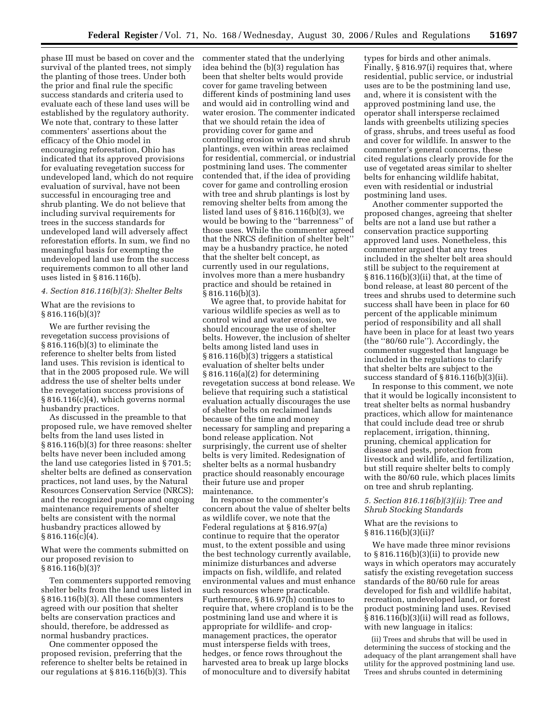phase III must be based on cover and the survival of the planted trees, not simply the planting of those trees. Under both the prior and final rule the specific success standards and criteria used to evaluate each of these land uses will be established by the regulatory authority. We note that, contrary to these latter commenters' assertions about the efficacy of the Ohio model in encouraging reforestation, Ohio has indicated that its approved provisions for evaluating revegetation success for undeveloped land, which do not require evaluation of survival, have not been successful in encouraging tree and shrub planting. We do not believe that including survival requirements for trees in the success standards for undeveloped land will adversely affect reforestation efforts. In sum, we find no meaningful basis for exempting the undeveloped land use from the success requirements common to all other land uses listed in § 816.116(b).

#### *4. Section 816.116(b)(3): Shelter Belts*

What are the revisions to § 816.116(b)(3)?

We are further revising the revegetation success provisions of § 816.116(b)(3) to eliminate the reference to shelter belts from listed land uses. This revision is identical to that in the 2005 proposed rule. We will address the use of shelter belts under the revegetation success provisions of § 816.116(c)(4), which governs normal husbandry practices.

As discussed in the preamble to that proposed rule, we have removed shelter belts from the land uses listed in § 816.116(b)(3) for three reasons: shelter belts have never been included among the land use categories listed in § 701.5; shelter belts are defined as conservation practices, not land uses, by the Natural Resources Conservation Service (NRCS); and the recognized purpose and ongoing maintenance requirements of shelter belts are consistent with the normal husbandry practices allowed by  $§ 816.116(c)(4).$ 

What were the comments submitted on our proposed revision to § 816.116(b)(3)?

Ten commenters supported removing shelter belts from the land uses listed in § 816.116(b)(3). All these commenters agreed with our position that shelter belts are conservation practices and should, therefore, be addressed as normal husbandry practices.

One commenter opposed the proposed revision, preferring that the reference to shelter belts be retained in our regulations at § 816.116(b)(3). This

commenter stated that the underlying idea behind the (b)(3) regulation has been that shelter belts would provide cover for game traveling between different kinds of postmining land uses and would aid in controlling wind and water erosion. The commenter indicated that we should retain the idea of providing cover for game and controlling erosion with tree and shrub plantings, even within areas reclaimed for residential, commercial, or industrial postmining land uses. The commenter contended that, if the idea of providing cover for game and controlling erosion with tree and shrub plantings is lost by removing shelter belts from among the listed land uses of § 816.116(b)(3), we would be bowing to the ''barrenness'' of those uses. While the commenter agreed that the NRCS definition of shelter belt'' may be a husbandry practice, he noted that the shelter belt concept, as currently used in our regulations, involves more than a mere husbandry practice and should be retained in § 816.116(b)(3).

We agree that, to provide habitat for various wildlife species as well as to control wind and water erosion, we should encourage the use of shelter belts. However, the inclusion of shelter belts among listed land uses in § 816.116(b)(3) triggers a statistical evaluation of shelter belts under § 816.116(a)(2) for determining revegetation success at bond release. We believe that requiring such a statistical evaluation actually discourages the use of shelter belts on reclaimed lands because of the time and money necessary for sampling and preparing a bond release application. Not surprisingly, the current use of shelter belts is very limited. Redesignation of shelter belts as a normal husbandry practice should reasonably encourage their future use and proper maintenance.

In response to the commenter's concern about the value of shelter belts as wildlife cover, we note that the Federal regulations at § 816.97(a) continue to require that the operator must, to the extent possible and using the best technology currently available, minimize disturbances and adverse impacts on fish, wildlife, and related environmental values and must enhance such resources where practicable. Furthermore, § 816.97(h) continues to require that, where cropland is to be the postmining land use and where it is appropriate for wildlife- and cropmanagement practices, the operator must intersperse fields with trees, hedges, or fence rows throughout the harvested area to break up large blocks of monoculture and to diversify habitat

types for birds and other animals. Finally, § 816.97(i) requires that, where residential, public service, or industrial uses are to be the postmining land use, and, where it is consistent with the approved postmining land use, the operator shall intersperse reclaimed lands with greenbelts utilizing species of grass, shrubs, and trees useful as food and cover for wildlife. In answer to the commenter's general concerns, these cited regulations clearly provide for the use of vegetated areas similar to shelter belts for enhancing wildlife habitat, even with residential or industrial postmining land uses.

Another commenter supported the proposed changes, agreeing that shelter belts are not a land use but rather a conservation practice supporting approved land uses. Nonetheless, this commenter argued that any trees included in the shelter belt area should still be subject to the requirement at § 816.116(b)(3)(ii) that, at the time of bond release, at least 80 percent of the trees and shrubs used to determine such success shall have been in place for 60 percent of the applicable minimum period of responsibility and all shall have been in place for at least two years (the ''80/60 rule''). Accordingly, the commenter suggested that language be included in the regulations to clarify that shelter belts are subject to the success standard of § 816.116(b)(3)(ii).

In response to this comment, we note that it would be logically inconsistent to treat shelter belts as normal husbandry practices, which allow for maintenance that could include dead tree or shrub replacement, irrigation, thinning, pruning, chemical application for disease and pests, protection from livestock and wildlife, and fertilization, but still require shelter belts to comply with the 80/60 rule, which places limits on tree and shrub replanting.

### *5. Section 816.116(b)(3)(ii): Tree and Shrub Stocking Standards*

### What are the revisions to § 816.116(b)(3)(ii)?

We have made three minor revisions to  $§816.116(b)(3)(ii)$  to provide new ways in which operators may accurately satisfy the existing revegetation success standards of the 80/60 rule for areas developed for fish and wildlife habitat, recreation, undeveloped land, or forest product postmining land uses. Revised § 816.116(b)(3)(ii) will read as follows, with new language in italics:

(ii) Trees and shrubs that will be used in determining the success of stocking and the adequacy of the plant arrangement shall have utility for the approved postmining land use. Trees and shrubs counted in determining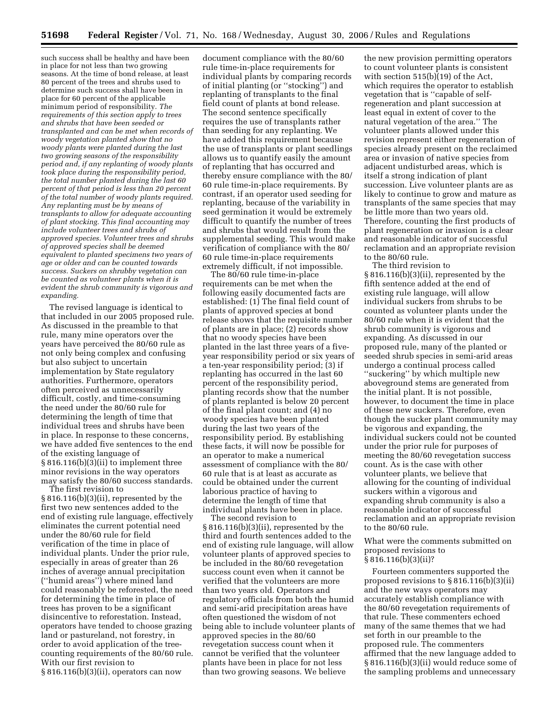such success shall be healthy and have been in place for not less than two growing seasons. At the time of bond release, at least 80 percent of the trees and shrubs used to determine such success shall have been in place for 60 percent of the applicable minimum period of responsibility. *The requirements of this section apply to trees and shrubs that have been seeded or transplanted and can be met when records of woody vegetation planted show that no woody plants were planted during the last two growing seasons of the responsibility period and, if any replanting of woody plants took place during the responsibility period, the total number planted during the last 60 percent of that period is less than 20 percent of the total number of woody plants required. Any replanting must be by means of transplants to allow for adequate accounting of plant stocking. This final accounting may include volunteer trees and shrubs of approved species. Volunteer trees and shrubs of approved species shall be deemed equivalent to planted specimens two years of age or older and can be counted towards success. Suckers on shrubby vegetation can be counted as volunteer plants when it is evident the shrub community is vigorous and expanding.* 

The revised language is identical to that included in our 2005 proposed rule. As discussed in the preamble to that rule, many mine operators over the years have perceived the 80/60 rule as not only being complex and confusing but also subject to uncertain implementation by State regulatory authorities. Furthermore, operators often perceived as unnecessarily difficult, costly, and time-consuming the need under the 80/60 rule for determining the length of time that individual trees and shrubs have been in place. In response to these concerns, we have added five sentences to the end of the existing language of § 816.116(b)(3)(ii) to implement three minor revisions in the way operators may satisfy the 80/60 success standards.

The first revision to § 816.116(b)(3)(ii), represented by the first two new sentences added to the end of existing rule language, effectively eliminates the current potential need under the 80/60 rule for field verification of the time in place of individual plants. Under the prior rule, especially in areas of greater than 26 inches of average annual precipitation (''humid areas'') where mined land could reasonably be reforested, the need for determining the time in place of trees has proven to be a significant disincentive to reforestation. Instead, operators have tended to choose grazing land or pastureland, not forestry, in order to avoid application of the treecounting requirements of the 80/60 rule. With our first revision to § 816.116(b)(3)(ii), operators can now

document compliance with the 80/60 rule time-in-place requirements for individual plants by comparing records of initial planting (or ''stocking'') and replanting of transplants to the final field count of plants at bond release. The second sentence specifically requires the use of transplants rather than seeding for any replanting. We have added this requirement because the use of transplants or plant seedlings allows us to quantify easily the amount of replanting that has occurred and thereby ensure compliance with the 80/ 60 rule time-in-place requirements. By contrast, if an operator used seeding for replanting, because of the variability in seed germination it would be extremely difficult to quantify the number of trees and shrubs that would result from the supplemental seeding. This would make verification of compliance with the 80/ 60 rule time-in-place requirements extremely difficult, if not impossible.

The 80/60 rule time-in-place requirements can be met when the following easily documented facts are established: (1) The final field count of plants of approved species at bond release shows that the requisite number of plants are in place; (2) records show that no woody species have been planted in the last three years of a fiveyear responsibility period or six years of a ten-year responsibility period; (3) if replanting has occurred in the last 60 percent of the responsibility period, planting records show that the number of plants replanted is below 20 percent of the final plant count; and (4) no woody species have been planted during the last two years of the responsibility period. By establishing these facts, it will now be possible for an operator to make a numerical assessment of compliance with the 80/ 60 rule that is at least as accurate as could be obtained under the current laborious practice of having to determine the length of time that individual plants have been in place.

The second revision to § 816.116(b)(3)(ii), represented by the third and fourth sentences added to the end of existing rule language, will allow volunteer plants of approved species to be included in the 80/60 revegetation success count even when it cannot be verified that the volunteers are more than two years old. Operators and regulatory officials from both the humid and semi-arid precipitation areas have often questioned the wisdom of not being able to include volunteer plants of approved species in the 80/60 revegetation success count when it cannot be verified that the volunteer plants have been in place for not less than two growing seasons. We believe

the new provision permitting operators to count volunteer plants is consistent with section 515(b)(19) of the Act, which requires the operator to establish vegetation that is ''capable of selfregeneration and plant succession at least equal in extent of cover to the natural vegetation of the area.'' The volunteer plants allowed under this revision represent either regeneration of species already present on the reclaimed area or invasion of native species from adjacent undisturbed areas, which is itself a strong indication of plant succession. Live volunteer plants are as likely to continue to grow and mature as transplants of the same species that may be little more than two years old. Therefore, counting the first products of plant regeneration or invasion is a clear and reasonable indicator of successful reclamation and an appropriate revision to the 80/60 rule.

The third revision to § 816.116(b)(3)(ii), represented by the fifth sentence added at the end of existing rule language, will allow individual suckers from shrubs to be counted as volunteer plants under the 80/60 rule when it is evident that the shrub community is vigorous and expanding. As discussed in our proposed rule, many of the planted or seeded shrub species in semi-arid areas undergo a continual process called ''suckering'' by which multiple new aboveground stems are generated from the initial plant. It is not possible, however, to document the time in place of these new suckers. Therefore, even though the sucker plant community may be vigorous and expanding, the individual suckers could not be counted under the prior rule for purposes of meeting the 80/60 revegetation success count. As is the case with other volunteer plants, we believe that allowing for the counting of individual suckers within a vigorous and expanding shrub community is also a reasonable indicator of successful reclamation and an appropriate revision to the 80/60 rule.

What were the comments submitted on proposed revisions to § 816.116(b)(3)(ii)?

Fourteen commenters supported the proposed revisions to § 816.116(b)(3)(ii) and the new ways operators may accurately establish compliance with the 80/60 revegetation requirements of that rule. These commenters echoed many of the same themes that we had set forth in our preamble to the proposed rule. The commenters affirmed that the new language added to § 816.116(b)(3)(ii) would reduce some of the sampling problems and unnecessary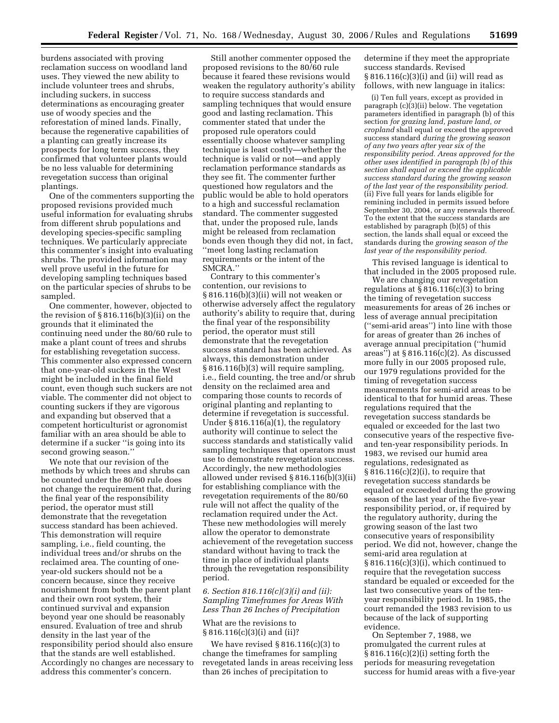burdens associated with proving reclamation success on woodland land uses. They viewed the new ability to include volunteer trees and shrubs, including suckers, in success determinations as encouraging greater use of woody species and the reforestation of mined lands. Finally, because the regenerative capabilities of a planting can greatly increase its prospects for long term success, they confirmed that volunteer plants would be no less valuable for determining revegetation success than original plantings.

One of the commenters supporting the proposed revisions provided much useful information for evaluating shrubs from different shrub populations and developing species-specific sampling techniques. We particularly appreciate this commenter's insight into evaluating shrubs. The provided information may well prove useful in the future for developing sampling techniques based on the particular species of shrubs to be sampled.

One commenter, however, objected to the revision of  $\S 816.116(b)(3)(ii)$  on the grounds that it eliminated the continuing need under the 80/60 rule to make a plant count of trees and shrubs for establishing revegetation success. This commenter also expressed concern that one-year-old suckers in the West might be included in the final field count, even though such suckers are not viable. The commenter did not object to counting suckers if they are vigorous and expanding but observed that a competent horticulturist or agronomist familiar with an area should be able to determine if a sucker ''is going into its second growing season.''

We note that our revision of the methods by which trees and shrubs can be counted under the 80/60 rule does not change the requirement that, during the final year of the responsibility period, the operator must still demonstrate that the revegetation success standard has been achieved. This demonstration will require sampling, i.e., field counting, the individual trees and/or shrubs on the reclaimed area. The counting of oneyear-old suckers should not be a concern because, since they receive nourishment from both the parent plant and their own root system, their continued survival and expansion beyond year one should be reasonably ensured. Evaluation of tree and shrub density in the last year of the responsibility period should also ensure that the stands are well established. Accordingly no changes are necessary to address this commenter's concern.

Still another commenter opposed the proposed revisions to the 80/60 rule because it feared these revisions would weaken the regulatory authority's ability to require success standards and sampling techniques that would ensure good and lasting reclamation. This commenter stated that under the proposed rule operators could essentially choose whatever sampling technique is least costly—whether the technique is valid or not—and apply reclamation performance standards as they see fit. The commenter further questioned how regulators and the public would be able to hold operators to a high and successful reclamation standard. The commenter suggested that, under the proposed rule, lands might be released from reclamation bonds even though they did not, in fact, ''meet long lasting reclamation requirements or the intent of the SMCRA.''

Contrary to this commenter's contention, our revisions to § 816.116(b)(3)(ii) will not weaken or otherwise adversely affect the regulatory authority's ability to require that, during the final year of the responsibility period, the operator must still demonstrate that the revegetation success standard has been achieved. As always, this demonstration under § 816.116(b)(3) will require sampling, i.e., field counting, the tree and/or shrub density on the reclaimed area and comparing those counts to records of original planting and replanting to determine if revegetation is successful. Under § 816.116(a)(1), the regulatory authority will continue to select the success standards and statistically valid sampling techniques that operators must use to demonstrate revegetation success. Accordingly, the new methodologies allowed under revised § 816.116(b)(3)(ii) for establishing compliance with the revegetation requirements of the 80/60 rule will not affect the quality of the reclamation required under the Act. These new methodologies will merely allow the operator to demonstrate achievement of the revegetation success standard without having to track the time in place of individual plants through the revegetation responsibility period.

*6. Section 816.116(c)(3)(i) and (ii): Sampling Timeframes for Areas With Less Than 26 Inches of Precipitation* 

## What are the revisions to § 816.116(c)(3)(i) and (ii)?

We have revised  $§ 816.116(c)(3)$  to change the timeframes for sampling revegetated lands in areas receiving less than 26 inches of precipitation to

determine if they meet the appropriate success standards. Revised § 816.116(c)(3)(i) and (ii) will read as follows, with new language in italics:

(i) Ten full years, except as provided in paragraph (c)(3)(ii) below. The vegetation parameters identified in paragraph (b) of this section *for grazing land, pasture land, or cropland* shall equal or exceed the approved success standard *during the growing season of any two years after year six of the responsibility period. Areas approved for the other uses identified in paragraph (b) of this section shall equal or exceed the applicable success standard during the growing season of the last year of the responsibility period.*  (ii) Five full years for lands eligible for remining included in permits issued before September 30, 2004, or any renewals thereof. To the extent that the success standards are established by paragraph (b)(5) of this section, the lands shall equal or exceed the standards during the *growing season of the last year of the responsibility period.* 

This revised language is identical to that included in the 2005 proposed rule.

We are changing our revegetation regulations at  $\S 816.116(c)(3)$  to bring the timing of revegetation success measurements for areas of 26 inches or less of average annual precipitation (''semi-arid areas'') into line with those for areas of greater than 26 inches of average annual precipitation (''humid areas'') at § 816.116(c)(2). As discussed more fully in our 2005 proposed rule, our 1979 regulations provided for the timing of revegetation success measurements for semi-arid areas to be identical to that for humid areas. These regulations required that the revegetation success standards be equaled or exceeded for the last two consecutive years of the respective fiveand ten-year responsibility periods. In 1983, we revised our humid area regulations, redesignated as  $§ 816.116(c)(2)(i)$ , to require that revegetation success standards be equaled or exceeded during the growing season of the last year of the five-year responsibility period, or, if required by the regulatory authority, during the growing season of the last two consecutive years of responsibility period. We did not, however, change the semi-arid area regulation at § 816.116(c)(3)(i), which continued to require that the revegetation success standard be equaled or exceeded for the last two consecutive years of the tenyear responsibility period. In 1985, the court remanded the 1983 revision to us because of the lack of supporting evidence.

On September 7, 1988, we promulgated the current rules at § 816.116(c)(2)(i) setting forth the periods for measuring revegetation success for humid areas with a five-year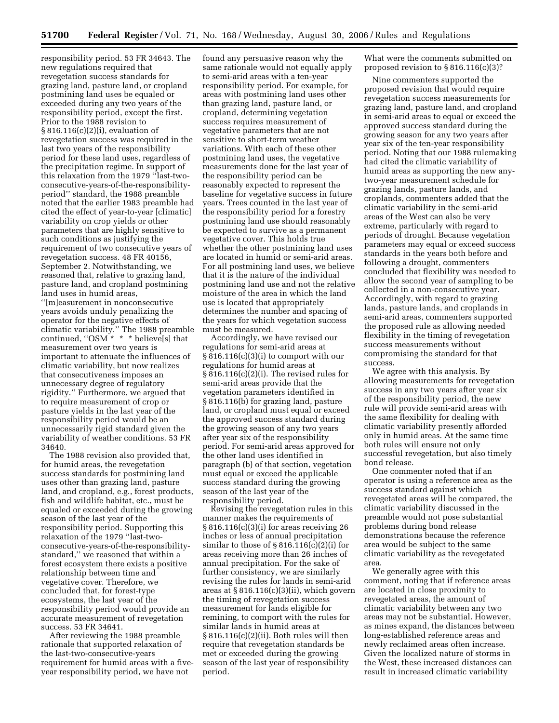responsibility period. 53 FR 34643. The new regulations required that revegetation success standards for grazing land, pasture land, or cropland postmining land uses be equaled or exceeded during any two years of the responsibility period, except the first. Prior to the 1988 revision to § 816.116(c)(2)(i), evaluation of revegetation success was required in the last two years of the responsibility period for these land uses, regardless of the precipitation regime. In support of this relaxation from the 1979 ''last-twoconsecutive-years-of-the-responsibilityperiod'' standard, the 1988 preamble noted that the earlier 1983 preamble had cited the effect of year-to-year [climatic] variability on crop yields or other parameters that are highly sensitive to such conditions as justifying the requirement of two consecutive years of revegetation success. 48 FR 40156, September 2. Notwithstanding, we reasoned that, relative to grazing land, pasture land, and cropland postmining land uses in humid areas,

''[m]easurement in nonconsecutive years avoids unduly penalizing the operator for the negative effects of climatic variability.'' The 1988 preamble continued, " $OSM^*$  \* \* believe[s] that measurement over two years is important to attenuate the influences of climatic variability, but now realizes that consecutiveness imposes an unnecessary degree of regulatory rigidity.'' Furthermore, we argued that to require measurement of crop or pasture yields in the last year of the responsibility period would be an unnecessarily rigid standard given the variability of weather conditions. 53 FR 34640.

The 1988 revision also provided that, for humid areas, the revegetation success standards for postmining land uses other than grazing land, pasture land, and cropland, e.g., forest products, fish and wildlife habitat, etc., must be equaled or exceeded during the growing season of the last year of the responsibility period. Supporting this relaxation of the 1979 ''last-twoconsecutive-years-of-the-responsibilitystandard,'' we reasoned that within a forest ecosystem there exists a positive relationship between time and vegetative cover. Therefore, we concluded that, for forest-type ecosystems, the last year of the responsibility period would provide an accurate measurement of revegetation success. 53 FR 34641.

After reviewing the 1988 preamble rationale that supported relaxation of the last-two-consecutive-years requirement for humid areas with a fiveyear responsibility period, we have not

found any persuasive reason why the same rationale would not equally apply to semi-arid areas with a ten-year responsibility period. For example, for areas with postmining land uses other than grazing land, pasture land, or cropland, determining vegetation success requires measurement of vegetative parameters that are not sensitive to short-term weather variations. With each of these other postmining land uses, the vegetative measurements done for the last year of the responsibility period can be reasonably expected to represent the baseline for vegetative success in future years. Trees counted in the last year of the responsibility period for a forestry postmining land use should reasonably be expected to survive as a permanent vegetative cover. This holds true whether the other postmining land uses are located in humid or semi-arid areas. For all postmining land uses, we believe that it is the nature of the individual postmining land use and not the relative moisture of the area in which the land use is located that appropriately determines the number and spacing of the years for which vegetation success must be measured.

Accordingly, we have revised our regulations for semi-arid areas at § 816.116(c)(3)(i) to comport with our regulations for humid areas at § 816.116(c)(2)(i). The revised rules for semi-arid areas provide that the vegetation parameters identified in § 816.116(b) for grazing land, pasture land, or cropland must equal or exceed the approved success standard during the growing season of any two years after year six of the responsibility period. For semi-arid areas approved for the other land uses identified in paragraph (b) of that section, vegetation must equal or exceed the applicable success standard during the growing season of the last year of the responsibility period.

Revising the revegetation rules in this manner makes the requirements of § 816.116(c)(3)(i) for areas receiving 26 inches or less of annual precipitation similar to those of  $\S 816.116(c)(2)(i)$  for areas receiving more than 26 inches of annual precipitation. For the sake of further consistency, we are similarly revising the rules for lands in semi-arid areas at § 816.116(c)(3)(ii), which govern the timing of revegetation success measurement for lands eligible for remining, to comport with the rules for similar lands in humid areas at § 816.116(c)(2)(ii). Both rules will then require that revegetation standards be met or exceeded during the growing season of the last year of responsibility period.

What were the comments submitted on proposed revision to § 816.116(c)(3)?

Nine commenters supported the proposed revision that would require revegetation success measurements for grazing land, pasture land, and cropland in semi-arid areas to equal or exceed the approved success standard during the growing season for any two years after year six of the ten-year responsibility period. Noting that our 1988 rulemaking had cited the climatic variability of humid areas as supporting the new anytwo-year measurement schedule for grazing lands, pasture lands, and croplands, commenters added that the climatic variability in the semi-arid areas of the West can also be very extreme, particularly with regard to periods of drought. Because vegetation parameters may equal or exceed success standards in the years both before and following a drought, commenters concluded that flexibility was needed to allow the second year of sampling to be collected in a non-consecutive year. Accordingly, with regard to grazing lands, pasture lands, and croplands in semi-arid areas, commenters supported the proposed rule as allowing needed flexibility in the timing of revegetation success measurements without compromising the standard for that success.

We agree with this analysis. By allowing measurements for revegetation success in any two years after year six of the responsibility period, the new rule will provide semi-arid areas with the same flexibility for dealing with climatic variability presently afforded only in humid areas. At the same time both rules will ensure not only successful revegetation, but also timely bond release.

One commenter noted that if an operator is using a reference area as the success standard against which revegetated areas will be compared, the climatic variability discussed in the preamble would not pose substantial problems during bond release demonstrations because the reference area would be subject to the same climatic variability as the revegetated area.

We generally agree with this comment, noting that if reference areas are located in close proximity to revegetated areas, the amount of climatic variability between any two areas may not be substantial. However, as mines expand, the distances between long-established reference areas and newly reclaimed areas often increase. Given the localized nature of storms in the West, these increased distances can result in increased climatic variability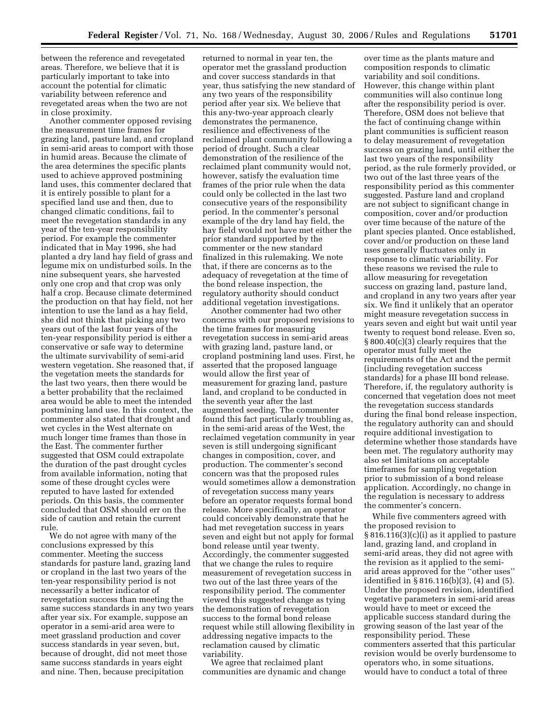between the reference and revegetated areas. Therefore, we believe that it is particularly important to take into account the potential for climatic variability between reference and revegetated areas when the two are not in close proximity.

Another commenter opposed revising the measurement time frames for grazing land, pasture land, and cropland in semi-arid areas to comport with those in humid areas. Because the climate of the area determines the specific plants used to achieve approved postmining land uses, this commenter declared that it is entirely possible to plant for a specified land use and then, due to changed climatic conditions, fail to meet the revegetation standards in any year of the ten-year responsibility period. For example the commenter indicated that in May 1996, she had planted a dry land hay field of grass and legume mix on undisturbed soils. In the nine subsequent years, she harvested only one crop and that crop was only half a crop. Because climate determined the production on that hay field, not her intention to use the land as a hay field, she did not think that picking any two years out of the last four years of the ten-year responsibility period is either a conservative or safe way to determine the ultimate survivability of semi-arid western vegetation. She reasoned that, if the vegetation meets the standards for the last two years, then there would be a better probability that the reclaimed area would be able to meet the intended postmining land use. In this context, the commenter also stated that drought and wet cycles in the West alternate on much longer time frames than those in the East. The commenter further suggested that OSM could extrapolate the duration of the past drought cycles from available information, noting that some of these drought cycles were reputed to have lasted for extended periods. On this basis, the commenter concluded that OSM should err on the side of caution and retain the current rule.

We do not agree with many of the conclusions expressed by this commenter. Meeting the success standards for pasture land, grazing land or cropland in the last two years of the ten-year responsibility period is not necessarily a better indicator of revegetation success than meeting the same success standards in any two years after year six. For example, suppose an operator in a semi-arid area were to meet grassland production and cover success standards in year seven, but, because of drought, did not meet those same success standards in years eight and nine. Then, because precipitation

returned to normal in year ten, the operator met the grassland production and cover success standards in that year, thus satisfying the new standard of any two years of the responsibility period after year six. We believe that this any-two-year approach clearly demonstrates the permanence, resilience and effectiveness of the reclaimed plant community following a period of drought. Such a clear demonstration of the resilience of the reclaimed plant community would not, however, satisfy the evaluation time frames of the prior rule when the data could only be collected in the last two consecutive years of the responsibility period. In the commenter's personal example of the dry land hay field, the hay field would not have met either the prior standard supported by the commenter or the new standard finalized in this rulemaking. We note that, if there are concerns as to the adequacy of revegetation at the time of the bond release inspection, the regulatory authority should conduct additional vegetation investigations.

Another commenter had two other concerns with our proposed revisions to the time frames for measuring revegetation success in semi-arid areas with grazing land, pasture land, or cropland postmining land uses. First, he asserted that the proposed language would allow the first year of measurement for grazing land, pasture land, and cropland to be conducted in the seventh year after the last augmented seeding. The commenter found this fact particularly troubling as, in the semi-arid areas of the West, the reclaimed vegetation community in year seven is still undergoing significant changes in composition, cover, and production. The commenter's second concern was that the proposed rules would sometimes allow a demonstration of revegetation success many years before an operator requests formal bond release. More specifically, an operator could conceivably demonstrate that he had met revegetation success in years seven and eight but not apply for formal bond release until year twenty. Accordingly, the commenter suggested that we change the rules to require measurement of revegetation success in two out of the last three years of the responsibility period. The commenter viewed this suggested change as tying the demonstration of revegetation success to the formal bond release request while still allowing flexibility in addressing negative impacts to the reclamation caused by climatic variability.

We agree that reclaimed plant communities are dynamic and change

over time as the plants mature and composition responds to climatic variability and soil conditions. However, this change within plant communities will also continue long after the responsibility period is over. Therefore, OSM does not believe that the fact of continuing change within plant communities is sufficient reason to delay measurement of revegetation success on grazing land, until either the last two years of the responsibility period, as the rule formerly provided, or two out of the last three years of the responsibility period as this commenter suggested. Pasture land and cropland are not subject to significant change in composition, cover and/or production over time because of the nature of the plant species planted. Once established, cover and/or production on these land uses generally fluctuates only in response to climatic variability. For these reasons we revised the rule to allow measuring for revegetation success on grazing land, pasture land, and cropland in any two years after year six. We find it unlikely that an operator might measure revegetation success in years seven and eight but wait until year twenty to request bond release. Even so, § 800.40(c)(3) clearly requires that the operator must fully meet the requirements of the Act and the permit (including revegetation success standards) for a phase III bond release. Therefore, if, the regulatory authority is concerned that vegetation does not meet the revegetation success standards during the final bond release inspection, the regulatory authority can and should require additional investigation to determine whether those standards have been met. The regulatory authority may also set limitations on acceptable timeframes for sampling vegetation prior to submission of a bond release application. Accordingly, no change in the regulation is necessary to address the commenter's concern.

While five commenters agreed with the proposed revision to § 816.116(3)(c)(i) as it applied to pasture land, grazing land, and cropland in semi-arid areas, they did not agree with the revision as it applied to the semiarid areas approved for the ''other uses'' identified in § 816.116(b)(3), (4) and (5). Under the proposed revision, identified vegetative parameters in semi-arid areas would have to meet or exceed the applicable success standard during the growing season of the last year of the responsibility period. These commenters asserted that this particular revision would be overly burdensome to operators who, in some situations, would have to conduct a total of three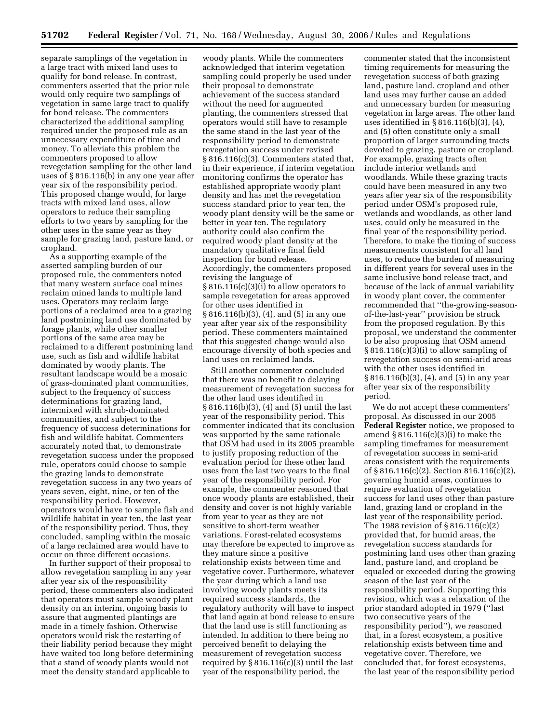separate samplings of the vegetation in a large tract with mixed land uses to qualify for bond release. In contrast, commenters asserted that the prior rule would only require two samplings of vegetation in same large tract to qualify for bond release. The commenters characterized the additional sampling required under the proposed rule as an unnecessary expenditure of time and money. To alleviate this problem the commenters proposed to allow revegetation sampling for the other land uses of § 816.116(b) in any one year after year six of the responsibility period. This proposed change would, for large tracts with mixed land uses, allow operators to reduce their sampling efforts to two years by sampling for the other uses in the same year as they sample for grazing land, pasture land, or cropland.

As a supporting example of the asserted sampling burden of our proposed rule, the commenters noted that many western surface coal mines reclaim mined lands to multiple land uses. Operators may reclaim large portions of a reclaimed area to a grazing land postmining land use dominated by forage plants, while other smaller portions of the same area may be reclaimed to a different postmining land use, such as fish and wildlife habitat dominated by woody plants. The resultant landscape would be a mosaic of grass-dominated plant communities, subject to the frequency of success determinations for grazing land, intermixed with shrub-dominated communities, and subject to the frequency of success determinations for fish and wildlife habitat. Commenters accurately noted that, to demonstrate revegetation success under the proposed rule, operators could choose to sample the grazing lands to demonstrate revegetation success in any two years of years seven, eight, nine, or ten of the responsibility period. However, operators would have to sample fish and wildlife habitat in year ten, the last year of the responsibility period. Thus, they concluded, sampling within the mosaic of a large reclaimed area would have to occur on three different occasions.

In further support of their proposal to allow revegetation sampling in any year after year six of the responsibility period, these commenters also indicated that operators must sample woody plant density on an interim, ongoing basis to assure that augmented plantings are made in a timely fashion. Otherwise operators would risk the restarting of their liability period because they might have waited too long before determining that a stand of woody plants would not meet the density standard applicable to

woody plants. While the commenters acknowledged that interim vegetation sampling could properly be used under their proposal to demonstrate achievement of the success standard without the need for augmented planting, the commenters stressed that operators would still have to resample the same stand in the last year of the responsibility period to demonstrate revegetation success under revised § 816.116(c)(3). Commenters stated that, in their experience, if interim vegetation monitoring confirms the operator has established appropriate woody plant density and has met the revegetation success standard prior to year ten, the woody plant density will be the same or better in year ten. The regulatory authority could also confirm the required woody plant density at the mandatory qualitative final field inspection for bond release. Accordingly, the commenters proposed revising the language of § 816.116(c)(3)(i) to allow operators to sample revegetation for areas approved for other uses identified in § 816.116(b)(3), (4), and (5) in any one year after year six of the responsibility period. These commenters maintained that this suggested change would also encourage diversity of both species and land uses on reclaimed lands.

Still another commenter concluded that there was no benefit to delaying measurement of revegetation success for the other land uses identified in § 816.116(b)(3), (4) and (5) until the last year of the responsibility period. This commenter indicated that its conclusion was supported by the same rationale that OSM had used in its 2005 preamble to justify proposing reduction of the evaluation period for these other land uses from the last two years to the final year of the responsibility period. For example, the commenter reasoned that once woody plants are established, their density and cover is not highly variable from year to year as they are not sensitive to short-term weather variations. Forest-related ecosystems may therefore be expected to improve as they mature since a positive relationship exists between time and vegetative cover. Furthermore, whatever the year during which a land use involving woody plants meets its required success standards, the regulatory authority will have to inspect that land again at bond release to ensure that the land use is still functioning as intended. In addition to there being no perceived benefit to delaying the measurement of revegetation success required by  $\S 816.116(c)(3)$  until the last year of the responsibility period, the

commenter stated that the inconsistent timing requirements for measuring the revegetation success of both grazing land, pasture land, cropland and other land uses may further cause an added and unnecessary burden for measuring vegetation in large areas. The other land uses identified in § 816.116(b)(3), (4), and (5) often constitute only a small proportion of larger surrounding tracts devoted to grazing, pasture or cropland. For example, grazing tracts often include interior wetlands and woodlands. While these grazing tracts could have been measured in any two years after year six of the responsibility period under OSM's proposed rule, wetlands and woodlands, as other land uses, could only be measured in the final year of the responsibility period. Therefore, to make the timing of success measurements consistent for all land uses, to reduce the burden of measuring in different years for several uses in the same inclusive bond release tract, and because of the lack of annual variability in woody plant cover, the commenter recommended that ''the-growing-seasonof-the-last-year'' provision be struck from the proposed regulation. By this proposal, we understand the commenter to be also proposing that OSM amend § 816.116(c)(3)(i) to allow sampling of revegetation success on semi-arid areas with the other uses identified in § 816.116(b)(3), (4), and (5) in any year after year six of the responsibility period.

We do not accept these commenters' proposal. As discussed in our 2005 **Federal Register** notice, we proposed to amend  $\S 816.116(c)(3)(i)$  to make the sampling timeframes for measurement of revegetation success in semi-arid areas consistent with the requirements of § 816.116(c)(2). Section 816.116(c)(2), governing humid areas, continues to require evaluation of revegetation success for land uses other than pasture land, grazing land or cropland in the last year of the responsibility period. The 1988 revision of § 816.116(c)(2) provided that, for humid areas, the revegetation success standards for postmining land uses other than grazing land, pasture land, and cropland be equaled or exceeded during the growing season of the last year of the responsibility period. Supporting this revision, which was a relaxation of the prior standard adopted in 1979 (''last two consecutive years of the responsibility period''), we reasoned that, in a forest ecosystem, a positive relationship exists between time and vegetative cover. Therefore, we concluded that, for forest ecosystems, the last year of the responsibility period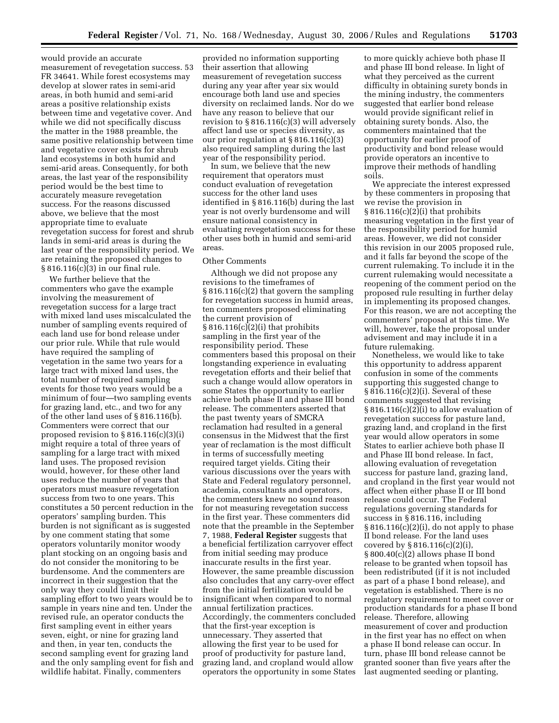would provide an accurate measurement of revegetation success. 53 FR 34641. While forest ecosystems may develop at slower rates in semi-arid areas, in both humid and semi-arid areas a positive relationship exists between time and vegetative cover. And while we did not specifically discuss the matter in the 1988 preamble, the same positive relationship between time and vegetative cover exists for shrub land ecosystems in both humid and semi-arid areas. Consequently, for both areas, the last year of the responsibility period would be the best time to accurately measure revegetation success. For the reasons discussed above, we believe that the most appropriate time to evaluate revegetation success for forest and shrub lands in semi-arid areas is during the last year of the responsibility period. We are retaining the proposed changes to § 816.116(c)(3) in our final rule.

We further believe that the commenters who gave the example involving the measurement of revegetation success for a large tract with mixed land uses miscalculated the number of sampling events required of each land use for bond release under our prior rule. While that rule would have required the sampling of vegetation in the same two years for a large tract with mixed land uses, the total number of required sampling events for those two years would be a minimum of four—two sampling events for grazing land, etc., and two for any of the other land uses of § 816.116(b). Commenters were correct that our proposed revision to § 816.116(c)(3)(i) might require a total of three years of sampling for a large tract with mixed land uses. The proposed revision would, however, for these other land uses reduce the number of years that operators must measure revegetation success from two to one years. This constitutes a 50 percent reduction in the operators' sampling burden. This burden is not significant as is suggested by one comment stating that some operators voluntarily monitor woody plant stocking on an ongoing basis and do not consider the monitoring to be burdensome. And the commenters are incorrect in their suggestion that the only way they could limit their sampling effort to two years would be to sample in years nine and ten. Under the revised rule, an operator conducts the first sampling event in either years seven, eight, or nine for grazing land and then, in year ten, conducts the second sampling event for grazing land and the only sampling event for fish and wildlife habitat. Finally, commenters

provided no information supporting their assertion that allowing measurement of revegetation success during any year after year six would encourage both land use and species diversity on reclaimed lands. Nor do we have any reason to believe that our revision to § 816.116(c)(3) will adversely affect land use or species diversity, as our prior regulation at § 816.116(c)(3) also required sampling during the last year of the responsibility period.

In sum, we believe that the new requirement that operators must conduct evaluation of revegetation success for the other land uses identified in § 816.116(b) during the last year is not overly burdensome and will ensure national consistency in evaluating revegetation success for these other uses both in humid and semi-arid areas.

### Other Comments

Although we did not propose any revisions to the timeframes of § 816.116(c)(2) that govern the sampling for revegetation success in humid areas, ten commenters proposed eliminating the current provision of § 816.116(c)(2)(i) that prohibits sampling in the first year of the responsibility period. These commenters based this proposal on their longstanding experience in evaluating revegetation efforts and their belief that such a change would allow operators in some States the opportunity to earlier achieve both phase II and phase III bond release. The commenters asserted that the past twenty years of SMCRA reclamation had resulted in a general consensus in the Midwest that the first year of reclamation is the most difficult in terms of successfully meeting required target yields. Citing their various discussions over the years with State and Federal regulatory personnel, academia, consultants and operators, the commenters knew no sound reason for not measuring revegetation success in the first year. These commenters did note that the preamble in the September 7, 1988, **Federal Register** suggests that a beneficial fertilization carryover effect from initial seeding may produce inaccurate results in the first year. However, the same preamble discussion also concludes that any carry-over effect from the initial fertilization would be insignificant when compared to normal annual fertilization practices. Accordingly, the commenters concluded that the first-year exception is unnecessary. They asserted that allowing the first year to be used for proof of productivity for pasture land, grazing land, and cropland would allow operators the opportunity in some States

to more quickly achieve both phase II and phase III bond release. In light of what they perceived as the current difficulty in obtaining surety bonds in the mining industry, the commenters suggested that earlier bond release would provide significant relief in obtaining surety bonds. Also, the commenters maintained that the opportunity for earlier proof of productivity and bond release would provide operators an incentive to improve their methods of handling soils.

We appreciate the interest expressed by these commenters in proposing that we revise the provision in § 816.116(c)(2)(i) that prohibits measuring vegetation in the first year of the responsibility period for humid areas. However, we did not consider this revision in our 2005 proposed rule, and it falls far beyond the scope of the current rulemaking. To include it in the current rulemaking would necessitate a reopening of the comment period on the proposed rule resulting in further delay in implementing its proposed changes. For this reason, we are not accepting the commenters' proposal at this time. We will, however, take the proposal under advisement and may include it in a future rulemaking.

Nonetheless, we would like to take this opportunity to address apparent confusion in some of the comments supporting this suggested change to § 816.116(c)(2)(i). Several of these comments suggested that revising § 816.116(c)(2)(i) to allow evaluation of revegetation success for pasture land, grazing land, and cropland in the first year would allow operators in some States to earlier achieve both phase II and Phase III bond release. In fact, allowing evaluation of revegetation success for pasture land, grazing land, and cropland in the first year would not affect when either phase II or III bond release could occur. The Federal regulations governing standards for success in § 816.116, including  $§ 816.116(c)(2)(i)$ , do not apply to phase II bond release. For the land uses covered by § 816.116(c)(2)(i), § 800.40(c)(2) allows phase II bond release to be granted when topsoil has been redistributed (if it is not included as part of a phase I bond release), and vegetation is established. There is no regulatory requirement to meet cover or production standards for a phase II bond release. Therefore, allowing measurement of cover and production in the first year has no effect on when a phase II bond release can occur. In turn, phase III bond release cannot be granted sooner than five years after the last augmented seeding or planting,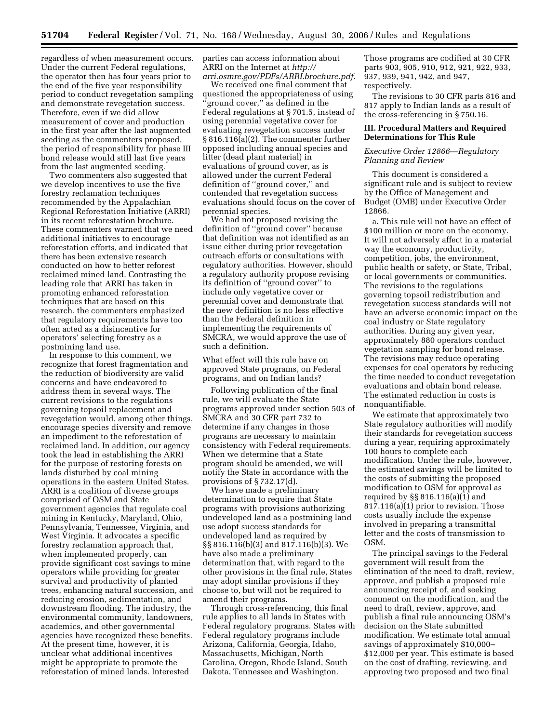regardless of when measurement occurs. Under the current Federal regulations, the operator then has four years prior to the end of the five year responsibility period to conduct revegetation sampling and demonstrate revegetation success. Therefore, even if we did allow measurement of cover and production in the first year after the last augmented seeding as the commenters proposed, the period of responsibility for phase III bond release would still last five years from the last augmented seeding.

Two commenters also suggested that we develop incentives to use the five forestry reclamation techniques recommended by the Appalachian Regional Reforestation Initiative (ARRI) in its recent reforestation brochure. These commenters warned that we need additional initiatives to encourage reforestation efforts, and indicated that there has been extensive research conducted on how to better reforest reclaimed mined land. Contrasting the leading role that ARRI has taken in promoting enhanced reforestation techniques that are based on this research, the commenters emphasized that regulatory requirements have too often acted as a disincentive for operators' selecting forestry as a postmining land use.

In response to this comment, we recognize that forest fragmentation and the reduction of biodiversity are valid concerns and have endeavored to address them in several ways. The current revisions to the regulations governing topsoil replacement and revegetation would, among other things, encourage species diversity and remove an impediment to the reforestation of reclaimed land. In addition, our agency took the lead in establishing the ARRI for the purpose of restoring forests on lands disturbed by coal mining operations in the eastern United States. ARRI is a coalition of diverse groups comprised of OSM and State government agencies that regulate coal mining in Kentucky, Maryland, Ohio, Pennsylvania, Tennessee, Virginia, and West Virginia. It advocates a specific forestry reclamation approach that, when implemented properly, can provide significant cost savings to mine operators while providing for greater survival and productivity of planted trees, enhancing natural succession, and reducing erosion, sedimentation, and downstream flooding. The industry, the environmental community, landowners, academics, and other governmental agencies have recognized these benefits. At the present time, however, it is unclear what additional incentives might be appropriate to promote the reforestation of mined lands. Interested

parties can access information about ARRI on the Internet at *http:// arri.osmre.gov/PDFs/ARRI.brochure.pdf.* 

We received one final comment that questioned the appropriateness of using ''ground cover,'' as defined in the Federal regulations at § 701.5, instead of using perennial vegetative cover for evaluating revegetation success under § 816.116(a)(2). The commenter further opposed including annual species and litter (dead plant material) in evaluations of ground cover, as is allowed under the current Federal definition of ''ground cover,'' and contended that revegetation success evaluations should focus on the cover of perennial species.

We had not proposed revising the definition of ''ground cover'' because that definition was not identified as an issue either during prior revegetation outreach efforts or consultations with regulatory authorities. However, should a regulatory authority propose revising its definition of ''ground cover'' to include only vegetative cover or perennial cover and demonstrate that the new definition is no less effective than the Federal definition in implementing the requirements of SMCRA, we would approve the use of such a definition.

What effect will this rule have on approved State programs, on Federal programs, and on Indian lands?

Following publication of the final rule, we will evaluate the State programs approved under section 503 of SMCRA and 30 CFR part 732 to determine if any changes in those programs are necessary to maintain consistency with Federal requirements. When we determine that a State program should be amended, we will notify the State in accordance with the provisions of § 732.17(d).

We have made a preliminary determination to require that State programs with provisions authorizing undeveloped land as a postmining land use adopt success standards for undeveloped land as required by §§ 816.116(b)(3) and 817.116(b)(3). We have also made a preliminary determination that, with regard to the other provisions in the final rule, States may adopt similar provisions if they choose to, but will not be required to amend their programs.

Through cross-referencing, this final rule applies to all lands in States with Federal regulatory programs. States with Federal regulatory programs include Arizona, California, Georgia, Idaho, Massachusetts, Michigan, North Carolina, Oregon, Rhode Island, South Dakota, Tennessee and Washington.

Those programs are codified at 30 CFR parts 903, 905, 910, 912, 921, 922, 933, 937, 939, 941, 942, and 947, respectively.

The revisions to 30 CFR parts 816 and 817 apply to Indian lands as a result of the cross-referencing in § 750.16.

### **III. Procedural Matters and Required Determinations for This Rule**

### *Executive Order 12866—Regulatory Planning and Review*

This document is considered a significant rule and is subject to review by the Office of Management and Budget (OMB) under Executive Order 12866.

a. This rule will not have an effect of \$100 million or more on the economy. It will not adversely affect in a material way the economy, productivity, competition, jobs, the environment, public health or safety, or State, Tribal, or local governments or communities. The revisions to the regulations governing topsoil redistribution and revegetation success standards will not have an adverse economic impact on the coal industry or State regulatory authorities. During any given year, approximately 880 operators conduct vegetation sampling for bond release. The revisions may reduce operating expenses for coal operators by reducing the time needed to conduct revegetation evaluations and obtain bond release. The estimated reduction in costs is nonquantifiable.

We estimate that approximately two State regulatory authorities will modify their standards for revegetation success during a year, requiring approximately 100 hours to complete each modification. Under the rule, however, the estimated savings will be limited to the costs of submitting the proposed modification to OSM for approval as required by §§ 816.116(a)(1) and 817.116(a)(1) prior to revision. Those costs usually include the expense involved in preparing a transmittal letter and the costs of transmission to OSM.

The principal savings to the Federal government will result from the elimination of the need to draft, review, approve, and publish a proposed rule announcing receipt of, and seeking comment on the modification, and the need to draft, review, approve, and publish a final rule announcing OSM's decision on the State submitted modification. We estimate total annual savings of approximately \$10,000– \$12,000 per year. This estimate is based on the cost of drafting, reviewing, and approving two proposed and two final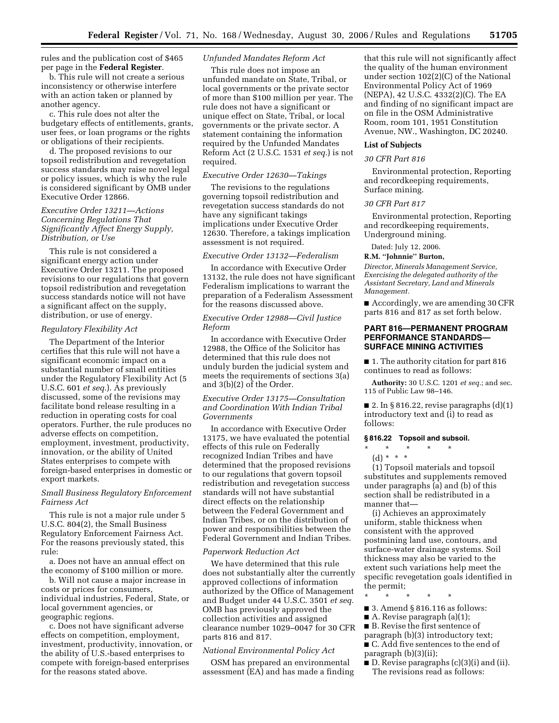rules and the publication cost of \$465 per page in the **Federal Register**.

b. This rule will not create a serious inconsistency or otherwise interfere with an action taken or planned by another agency.

c. This rule does not alter the budgetary effects of entitlements, grants, user fees, or loan programs or the rights or obligations of their recipients.

d. The proposed revisions to our topsoil redistribution and revegetation success standards may raise novel legal or policy issues, which is why the rule is considered significant by OMB under Executive Order 12866.

### *Executive Order 13211—Actions Concerning Regulations That Significantly Affect Energy Supply, Distribution, or Use*

This rule is not considered a significant energy action under Executive Order 13211. The proposed revisions to our regulations that govern topsoil redistribution and revegetation success standards notice will not have a significant affect on the supply, distribution, or use of energy.

#### *Regulatory Flexibility Act*

The Department of the Interior certifies that this rule will not have a significant economic impact on a substantial number of small entities under the Regulatory Flexibility Act (5 U.S.C. 601 *et seq.*). As previously discussed, some of the revisions may facilitate bond release resulting in a reduction in operating costs for coal operators. Further, the rule produces no adverse effects on competition, employment, investment, productivity, innovation, or the ability of United States enterprises to compete with foreign-based enterprises in domestic or export markets.

## *Small Business Regulatory Enforcement Fairness Act*

This rule is not a major rule under 5 U.S.C. 804(2), the Small Business Regulatory Enforcement Fairness Act. For the reasons previously stated, this rule:

a. Does not have an annual effect on the economy of \$100 million or more.

b. Will not cause a major increase in costs or prices for consumers, individual industries, Federal, State, or local government agencies, or geographic regions.

c. Does not have significant adverse effects on competition, employment, investment, productivity, innovation, or the ability of U.S.-based enterprises to compete with foreign-based enterprises for the reasons stated above.

## *Unfunded Mandates Reform Act*

This rule does not impose an unfunded mandate on State, Tribal, or local governments or the private sector of more than \$100 million per year. The rule does not have a significant or unique effect on State, Tribal, or local governments or the private sector. A statement containing the information required by the Unfunded Mandates Reform Act (2 U.S.C. 1531 *et seq.*) is not required.

#### *Executive Order 12630—Takings*

The revisions to the regulations governing topsoil redistribution and revegetation success standards do not have any significant takings implications under Executive Order 12630. Therefore, a takings implication assessment is not required.

#### *Executive Order 13132—Federalism*

In accordance with Executive Order 13132, the rule does not have significant Federalism implications to warrant the preparation of a Federalism Assessment for the reasons discussed above.

## *Executive Order 12988—Civil Justice Reform*

In accordance with Executive Order 12988, the Office of the Solicitor has determined that this rule does not unduly burden the judicial system and meets the requirements of sections 3(a) and 3(b)(2) of the Order.

## *Executive Order 13175—Consultation and Coordination With Indian Tribal Governments*

In accordance with Executive Order 13175, we have evaluated the potential effects of this rule on Federally recognized Indian Tribes and have determined that the proposed revisions to our regulations that govern topsoil redistribution and revegetation success standards will not have substantial direct effects on the relationship between the Federal Government and Indian Tribes, or on the distribution of power and responsibilities between the Federal Government and Indian Tribes.

#### *Paperwork Reduction Act*

We have determined that this rule does not substantially alter the currently approved collections of information authorized by the Office of Management and Budget under 44 U.S.C. 3501 *et seq.*  OMB has previously approved the collection activities and assigned clearance number 1029–0047 for 30 CFR parts 816 and 817.

### *National Environmental Policy Act*

OSM has prepared an environmental assessment (EA) and has made a finding

that this rule will not significantly affect the quality of the human environment under section 102(2)(C) of the National Environmental Policy Act of 1969 (NEPA), 42 U.S.C. 4332(2)(C). The EA and finding of no significant impact are on file in the OSM Administrative Room, room 101, 1951 Constitution Avenue, NW., Washington, DC 20240.

#### **List of Subjects**

### *30 CFR Part 816*

Environmental protection, Reporting and recordkeeping requirements, Surface mining.

#### *30 CFR Part 817*

Environmental protection, Reporting and recordkeeping requirements, Underground mining.

Dated: July 12, 2006.

#### **R.M. ''Johnnie'' Burton,**

*Director, Minerals Management Service, Exercising the delegated authority of the Assistant Secretary, Land and Minerals Management.* 

■ Accordingly, we are amending 30 CFR parts 816 and 817 as set forth below.

## **PART 816—PERMANENT PROGRAM PERFORMANCE STANDARDS— SURFACE MINING ACTIVITIES**

■ 1. The authority citation for part 816 continues to read as follows:

**Authority:** 30 U.S.C. 1201 *et seq.*; and sec. 115 of Public Law 98–146.

■ 2. In § 816.22, revise paragraphs  $(d)(1)$ introductory text and (i) to read as follows:

#### **§ 816.22 Topsoil and subsoil.**

- \* \* \* \* \*
	- $(d) * * * *$

(1) Topsoil materials and topsoil substitutes and supplements removed under paragraphs (a) and (b) of this section shall be redistributed in a manner that—

(i) Achieves an approximately uniform, stable thickness when consistent with the approved postmining land use, contours, and surface-water drainage systems. Soil thickness may also be varied to the extent such variations help meet the specific revegetation goals identified in the permit;

- \* \* \* \* \*
- 3. Amend § 816.116 as follows:
- $\blacksquare$  A. Revise paragraph (a)(1);
- B. Revise the first sentence of

paragraph (b)(3) introductory text; ■ C. Add five sentences to the end of

paragraph (b)(3)(ii); ■ D. Revise paragraphs (c)(3)(i) and (ii).

The revisions read as follows: